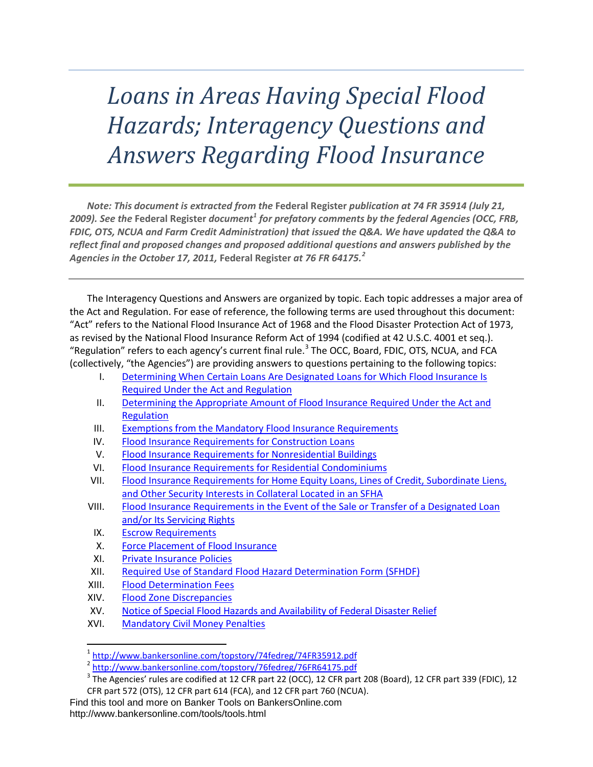# *Loans in Areas Having Special Flood Hazards; Interagency Questions and Answers Regarding Flood Insurance*

*Note: This document is extracted from the* **Federal Register** *publication at 74 FR 35914 (July 21, 2009). See the* **Federal Register** *document[1](#page-0-0) for prefatory comments by the federal Agencies (OCC, FRB, FDIC, OTS, NCUA and Farm Credit Administration) that issued the Q&A. We have updated the Q&A to reflect final and proposed changes and proposed additional questions and answers published by the Agencies in the October 17, 2011,* **Federal Register** *at 76 FR 64175.[2](#page-0-1)*

The Interagency Questions and Answers are organized by topic. Each topic addresses a major area of the Act and Regulation. For ease of reference, the following terms are used throughout this document: "Act" refers to the National Flood Insurance Act of 1968 and the Flood Disaster Protection Act of 1973, as revised by the National Flood Insurance Reform Act of 1994 (codified at 42 U.S.C. 4001 et seq.). "Regulation" refers to each agency's current final rule.<sup>[3](#page-0-2)</sup> The OCC, Board, FDIC, OTS, NCUA, and FCA (collectively, "the Agencies") are providing answers to questions pertaining to the following topics:

- I. [Determining When Certain Loans Are Designated Loans for Which Flood Insurance Is](#page-1-0)  [Required Under the Act and Regulation](#page-1-0)
- II. [Determining the Appropriate Amount of Flood Insurance Required Under the Act and](#page-2-0)  [Regulation](#page-2-0)
- III. Exemptions from [the Mandatory Flood Insurance Requirements](#page-6-0)
- IV. [Flood Insurance Requirements for Construction Loans](#page-6-1)
- V. [Flood Insurance Requirements for Nonresidential Buildings](#page-8-0)
- VI. [Flood Insurance Requirements for Residential Condominiums](#page-8-1)
- VII. [Flood Insurance Requirements for Home Equity Loans, Lines of Credit, Subordinate Liens,](#page-13-0)  [and Other Security Interests in Collateral Located in an SFHA](#page-13-0)
- VIII. [Flood Insurance Requirements in the Event of the Sale or Transfer of a Designated Loan](#page-16-0)  [and/or Its Servicing Rights](#page-16-0)
- IX. [Escrow Requirements](#page-19-0)
- X. [Force Placement of Flood Insurance](#page-20-0)
- XI. [Private Insurance Policies](#page-22-0)
- XII. [Required Use of Standard Flood Hazard Determination Form \(SFHDF\)](#page-23-0)
- XIII. [Flood Determination Fees](#page-24-0)
- XIV. [Flood Zone Discrepancies](#page-24-1)
- XV. [Notice of Special Flood Hazards and Availability of Federal Disaster Relief](#page-25-0)
- XVI. [Mandatory Civil Money Penalties](#page-27-0)

<sup>1</sup> <http://www.bankersonline.com/topstory/74fedreg/74FR35912.pdf><br>2 http://www.bankersonline.com/topstory/76fedreg/76FR64175.pdf

 $3$  The Agencies' rules are codified at 12 CFR part 22 (OCC), 12 CFR part 208 (Board), 12 CFR part 339 (FDIC), 12 CFR part 572 (OTS), 12 CFR part 614 (FCA), and 12 CFR part 760 (NCUA).

<span id="page-0-2"></span><span id="page-0-1"></span><span id="page-0-0"></span>Find this tool and more on Banker Tools on BankersOnline.com http://www.bankersonline.com/tools/tools.html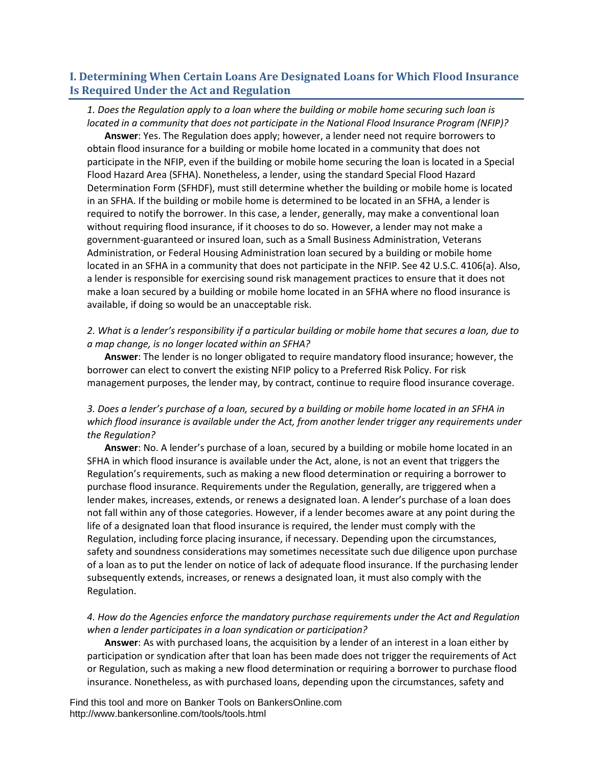# <span id="page-1-0"></span>**I. Determining When Certain Loans Are Designated Loans for Which Flood Insurance Is Required Under the Act and Regulation**

# *1. Does the Regulation apply to a loan where the building or mobile home securing such loan is located in a community that does not participate in the National Flood Insurance Program (NFIP)?*

**Answer**: Yes. The Regulation does apply; however, a lender need not require borrowers to obtain flood insurance for a building or mobile home located in a community that does not participate in the NFIP, even if the building or mobile home securing the loan is located in a Special Flood Hazard Area (SFHA). Nonetheless, a lender, using the standard Special Flood Hazard Determination Form (SFHDF), must still determine whether the building or mobile home is located in an SFHA. If the building or mobile home is determined to be located in an SFHA, a lender is required to notify the borrower. In this case, a lender, generally, may make a conventional loan without requiring flood insurance, if it chooses to do so. However, a lender may not make a government-guaranteed or insured loan, such as a Small Business Administration, Veterans Administration, or Federal Housing Administration loan secured by a building or mobile home located in an SFHA in a community that does not participate in the NFIP. See 42 U.S.C. 4106(a). Also, a lender is responsible for exercising sound risk management practices to ensure that it does not make a loan secured by a building or mobile home located in an SFHA where no flood insurance is available, if doing so would be an unacceptable risk.

# *2. What is a lender's responsibility if a particular building or mobile home that secures a loan, due to a map change, is no longer located within an SFHA?*

**Answer**: The lender is no longer obligated to require mandatory flood insurance; however, the borrower can elect to convert the existing NFIP policy to a Preferred Risk Policy. For risk management purposes, the lender may, by contract, continue to require flood insurance coverage.

# *3. Does a lender's purchase of a loan, secured by a building or mobile home located in an SFHA in which flood insurance is available under the Act, from another lender trigger any requirements under the Regulation?*

**Answer**: No. A lender's purchase of a loan, secured by a building or mobile home located in an SFHA in which flood insurance is available under the Act, alone, is not an event that triggers the Regulation's requirements, such as making a new flood determination or requiring a borrower to purchase flood insurance. Requirements under the Regulation, generally, are triggered when a lender makes, increases, extends, or renews a designated loan. A lender's purchase of a loan does not fall within any of those categories. However, if a lender becomes aware at any point during the life of a designated loan that flood insurance is required, the lender must comply with the Regulation, including force placing insurance, if necessary. Depending upon the circumstances, safety and soundness considerations may sometimes necessitate such due diligence upon purchase of a loan as to put the lender on notice of lack of adequate flood insurance. If the purchasing lender subsequently extends, increases, or renews a designated loan, it must also comply with the Regulation.

# *4. How do the Agencies enforce the mandatory purchase requirements under the Act and Regulation when a lender participates in a loan syndication or participation?*

**Answer**: As with purchased loans, the acquisition by a lender of an interest in a loan either by participation or syndication after that loan has been made does not trigger the requirements of Act or Regulation, such as making a new flood determination or requiring a borrower to purchase flood insurance. Nonetheless, as with purchased loans, depending upon the circumstances, safety and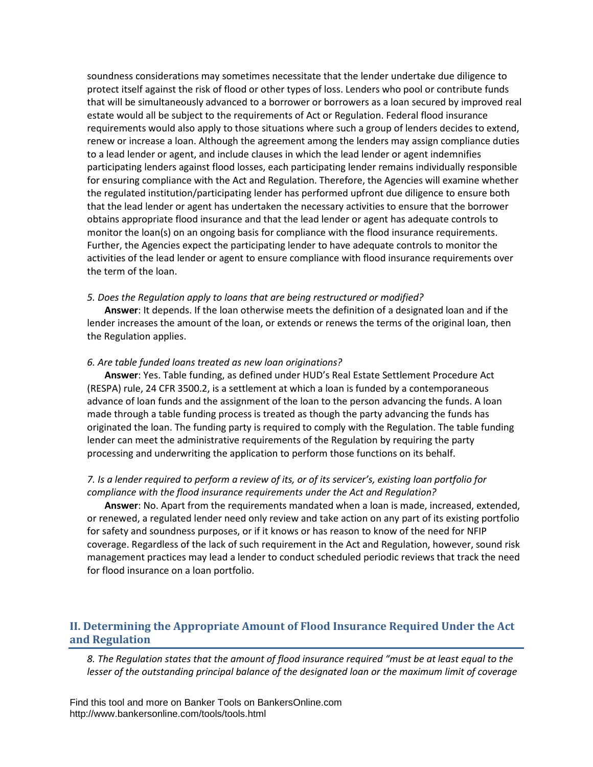soundness considerations may sometimes necessitate that the lender undertake due diligence to protect itself against the risk of flood or other types of loss. Lenders who pool or contribute funds that will be simultaneously advanced to a borrower or borrowers as a loan secured by improved real estate would all be subject to the requirements of Act or Regulation. Federal flood insurance requirements would also apply to those situations where such a group of lenders decides to extend, renew or increase a loan. Although the agreement among the lenders may assign compliance duties to a lead lender or agent, and include clauses in which the lead lender or agent indemnifies participating lenders against flood losses, each participating lender remains individually responsible for ensuring compliance with the Act and Regulation. Therefore, the Agencies will examine whether the regulated institution/participating lender has performed upfront due diligence to ensure both that the lead lender or agent has undertaken the necessary activities to ensure that the borrower obtains appropriate flood insurance and that the lead lender or agent has adequate controls to monitor the loan(s) on an ongoing basis for compliance with the flood insurance requirements. Further, the Agencies expect the participating lender to have adequate controls to monitor the activities of the lead lender or agent to ensure compliance with flood insurance requirements over the term of the loan.

#### *5. Does the Regulation apply to loans that are being restructured or modified?*

**Answer**: It depends. If the loan otherwise meets the definition of a designated loan and if the lender increases the amount of the loan, or extends or renews the terms of the original loan, then the Regulation applies.

#### *6. Are table funded loans treated as new loan originations?*

**Answer**: Yes. Table funding, as defined under HUD's Real Estate Settlement Procedure Act (RESPA) rule, 24 CFR 3500.2, is a settlement at which a loan is funded by a contemporaneous advance of loan funds and the assignment of the loan to the person advancing the funds. A loan made through a table funding process is treated as though the party advancing the funds has originated the loan. The funding party is required to comply with the Regulation. The table funding lender can meet the administrative requirements of the Regulation by requiring the party processing and underwriting the application to perform those functions on its behalf.

#### *7. Is a lender required to perform a review of its, or of its servicer's, existing loan portfolio for compliance with the flood insurance requirements under the Act and Regulation?*

**Answer**: No. Apart from the requirements mandated when a loan is made, increased, extended, or renewed, a regulated lender need only review and take action on any part of its existing portfolio for safety and soundness purposes, or if it knows or has reason to know of the need for NFIP coverage. Regardless of the lack of such requirement in the Act and Regulation, however, sound risk management practices may lead a lender to conduct scheduled periodic reviews that track the need for flood insurance on a loan portfolio.

# <span id="page-2-0"></span>**II. Determining the Appropriate Amount of Flood Insurance Required Under the Act and Regulation**

*8. The Regulation states that the amount of flood insurance required "must be at least equal to the lesser of the outstanding principal balance of the designated loan or the maximum limit of coverage*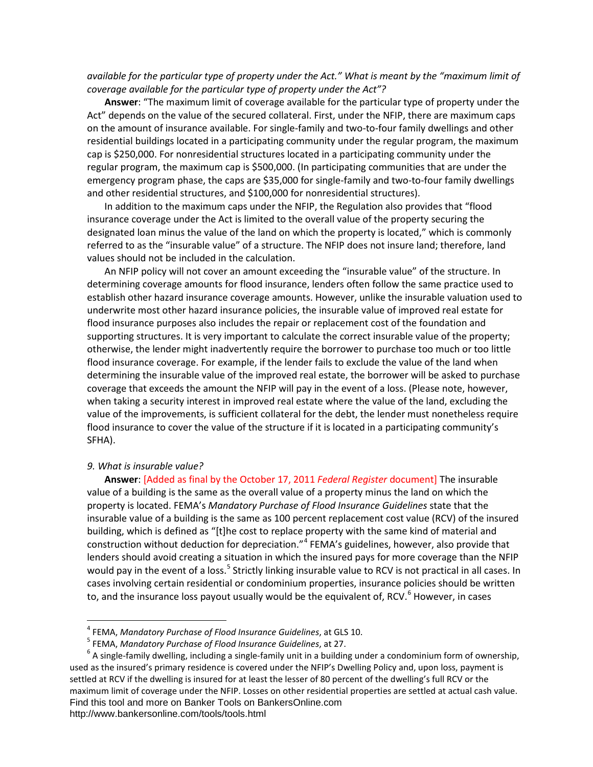## *available for the particular type of property under the Act." What is meant by the "maximum limit of coverage available for the particular type of property under the Act"?*

**Answer**: "The maximum limit of coverage available for the particular type of property under the Act" depends on the value of the secured collateral. First, under the NFIP, there are maximum caps on the amount of insurance available. For single-family and two-to-four family dwellings and other residential buildings located in a participating community under the regular program, the maximum cap is \$250,000. For nonresidential structures located in a participating community under the regular program, the maximum cap is \$500,000. (In participating communities that are under the emergency program phase, the caps are \$35,000 for single-family and two-to-four family dwellings and other residential structures, and \$100,000 for nonresidential structures).

In addition to the maximum caps under the NFIP, the Regulation also provides that "flood insurance coverage under the Act is limited to the overall value of the property securing the designated loan minus the value of the land on which the property is located," which is commonly referred to as the "insurable value" of a structure. The NFIP does not insure land; therefore, land values should not be included in the calculation.

An NFIP policy will not cover an amount exceeding the "insurable value" of the structure. In determining coverage amounts for flood insurance, lenders often follow the same practice used to establish other hazard insurance coverage amounts. However, unlike the insurable valuation used to underwrite most other hazard insurance policies, the insurable value of improved real estate for flood insurance purposes also includes the repair or replacement cost of the foundation and supporting structures. It is very important to calculate the correct insurable value of the property; otherwise, the lender might inadvertently require the borrower to purchase too much or too little flood insurance coverage. For example, if the lender fails to exclude the value of the land when determining the insurable value of the improved real estate, the borrower will be asked to purchase coverage that exceeds the amount the NFIP will pay in the event of a loss. (Please note, however, when taking a security interest in improved real estate where the value of the land, excluding the value of the improvements, is sufficient collateral for the debt, the lender must nonetheless require flood insurance to cover the value of the structure if it is located in a participating community's SFHA).

#### *9. What is insurable value?*

**Answer**: [Added as final by the October 17, 2011 *Federal Register* document] The insurable value of a building is the same as the overall value of a property minus the land on which the property is located. FEMA's *Mandatory Purchase of Flood Insurance Guidelines* state that the insurable value of a building is the same as 100 percent replacement cost value (RCV) of the insured building, which is defined as "[t]he cost to replace property with the same kind of material and construction without deduction for depreciation."[4](#page-3-0) FEMA's guidelines, however, also provide that lenders should avoid creating a situation in which the insured pays for more coverage than the NFIP would pay in the event of a loss.<sup>[5](#page-3-1)</sup> Strictly linking insurable value to RCV is not practical in all cases. In cases involving certain residential or condominium properties, insurance policies should be written to, and the insurance loss payout usually would be the equivalent of, RCV.<sup>[6](#page-3-2)</sup> However, in cases

 <sup>4</sup> FEMA, *Mandatory Purchase of Flood Insurance Guidelines*, at GLS 10.

<span id="page-3-2"></span><span id="page-3-1"></span><span id="page-3-0"></span>Find this tool and more on Banker Tools on BankersOnline.com http://www.bankersonline.com/tools/tools.html <sup>6</sup> A single-family dwelling, including a single-family unit in a building under a condominium form of ownership, used as the insured's primary residence is covered under the NFIP's Dwelling Policy and, upon loss, payment is settled at RCV if the dwelling is insured for at least the lesser of 80 percent of the dwelling's full RCV or the maximum limit of coverage under the NFIP. Losses on other residential properties are settled at actual cash value.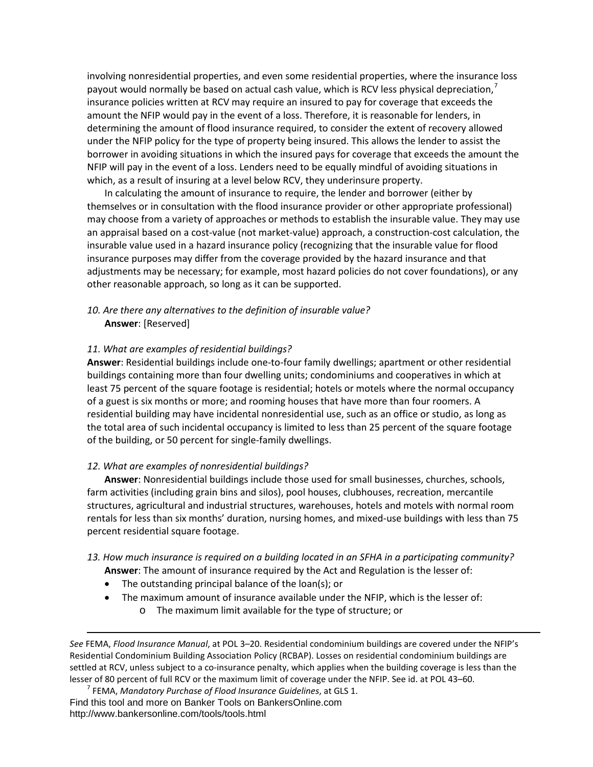involving nonresidential properties, and even some residential properties, where the insurance loss payout would normally be based on actual cash value, which is RCV less physical depreciation, $\prime$ insurance policies written at RCV may require an insured to pay for coverage that exceeds the amount the NFIP would pay in the event of a loss. Therefore, it is reasonable for lenders, in determining the amount of flood insurance required, to consider the extent of recovery allowed under the NFIP policy for the type of property being insured. This allows the lender to assist the borrower in avoiding situations in which the insured pays for coverage that exceeds the amount the NFIP will pay in the event of a loss. Lenders need to be equally mindful of avoiding situations in which, as a result of insuring at a level below RCV, they underinsure property.

In calculating the amount of insurance to require, the lender and borrower (either by themselves or in consultation with the flood insurance provider or other appropriate professional) may choose from a variety of approaches or methods to establish the insurable value. They may use an appraisal based on a cost-value (not market-value) approach, a construction-cost calculation, the insurable value used in a hazard insurance policy (recognizing that the insurable value for flood insurance purposes may differ from the coverage provided by the hazard insurance and that adjustments may be necessary; for example, most hazard policies do not cover foundations), or any other reasonable approach, so long as it can be supported.

## *10. Are there any alternatives to the definition of insurable value?*  **Answer**: [Reserved]

#### *11. What are examples of residential buildings?*

**Answer**: Residential buildings include one-to-four family dwellings; apartment or other residential buildings containing more than four dwelling units; condominiums and cooperatives in which at least 75 percent of the square footage is residential; hotels or motels where the normal occupancy of a guest is six months or more; and rooming houses that have more than four roomers. A residential building may have incidental nonresidential use, such as an office or studio, as long as the total area of such incidental occupancy is limited to less than 25 percent of the square footage of the building, or 50 percent for single-family dwellings.

#### *12. What are examples of nonresidential buildings?*

**Answer**: Nonresidential buildings include those used for small businesses, churches, schools, farm activities (including grain bins and silos), pool houses, clubhouses, recreation, mercantile structures, agricultural and industrial structures, warehouses, hotels and motels with normal room rentals for less than six months' duration, nursing homes, and mixed-use buildings with less than 75 percent residential square footage.

## *13. How much insurance is required on a building located in an SFHA in a participating community?*  **Answer**: The amount of insurance required by the Act and Regulation is the lesser of:

- The outstanding principal balance of the loan(s); or
- The maximum amount of insurance available under the NFIP, which is the lesser of:
	- o The maximum limit available for the type of structure; or

 $\overline{\phantom{a}}$ 

*See* FEMA, *Flood Insurance Manual*, at POL 3–20. Residential condominium buildings are covered under the NFIP's Residential Condominium Building Association Policy (RCBAP). Losses on residential condominium buildings are settled at RCV, unless subject to a co-insurance penalty, which applies when the building coverage is less than the lesser of 80 percent of full RCV or the maximum limit of coverage under the NFIP. See id. at POL 43–60. <sup>7</sup> FEMA, *Mandatory Purchase of Flood Insurance Guidelines*, at GLS 1.

<span id="page-4-0"></span>Find this tool and more on Banker Tools on BankersOnline.com http://www.bankersonline.com/tools/tools.html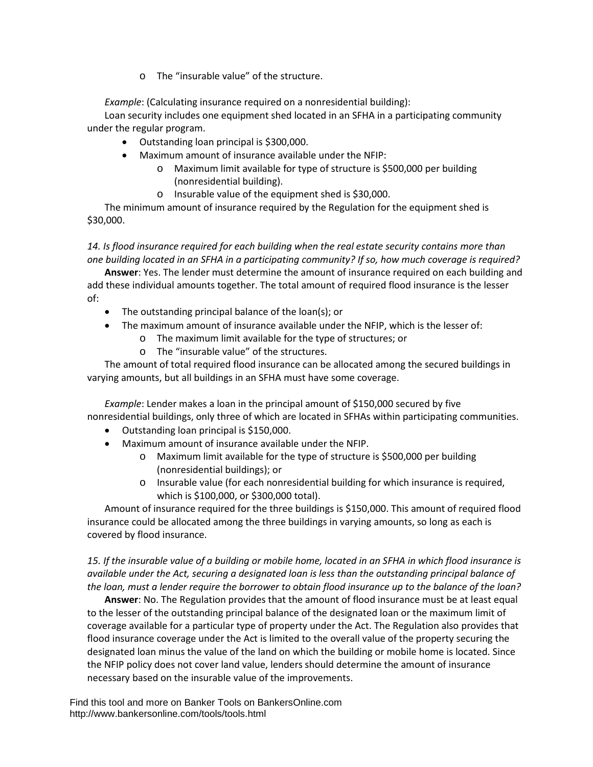o The "insurable value" of the structure.

*Example*: (Calculating insurance required on a nonresidential building):

Loan security includes one equipment shed located in an SFHA in a participating community under the regular program.

- Outstanding loan principal is \$300,000.
- Maximum amount of insurance available under the NFIP:
	- o Maximum limit available for type of structure is \$500,000 per building (nonresidential building).
	- o Insurable value of the equipment shed is \$30,000.

The minimum amount of insurance required by the Regulation for the equipment shed is \$30,000.

# *14. Is flood insurance required for each building when the real estate security contains more than one building located in an SFHA in a participating community? If so, how much coverage is required?*

**Answer**: Yes. The lender must determine the amount of insurance required on each building and add these individual amounts together. The total amount of required flood insurance is the lesser of:

- The outstanding principal balance of the loan(s); or
- The maximum amount of insurance available under the NFIP, which is the lesser of:
	- o The maximum limit available for the type of structures; or
	- o The "insurable value" of the structures.

The amount of total required flood insurance can be allocated among the secured buildings in varying amounts, but all buildings in an SFHA must have some coverage.

*Example*: Lender makes a loan in the principal amount of \$150,000 secured by five nonresidential buildings, only three of which are located in SFHAs within participating communities.

- Outstanding loan principal is \$150,000.
- Maximum amount of insurance available under the NFIP.
	- o Maximum limit available for the type of structure is \$500,000 per building (nonresidential buildings); or
	- o Insurable value (for each nonresidential building for which insurance is required, which is \$100,000, or \$300,000 total).

Amount of insurance required for the three buildings is \$150,000. This amount of required flood insurance could be allocated among the three buildings in varying amounts, so long as each is covered by flood insurance.

*15. If the insurable value of a building or mobile home, located in an SFHA in which flood insurance is available under the Act, securing a designated loan is less than the outstanding principal balance of the loan, must a lender require the borrower to obtain flood insurance up to the balance of the loan?* 

**Answer**: No. The Regulation provides that the amount of flood insurance must be at least equal to the lesser of the outstanding principal balance of the designated loan or the maximum limit of coverage available for a particular type of property under the Act. The Regulation also provides that flood insurance coverage under the Act is limited to the overall value of the property securing the designated loan minus the value of the land on which the building or mobile home is located. Since the NFIP policy does not cover land value, lenders should determine the amount of insurance necessary based on the insurable value of the improvements.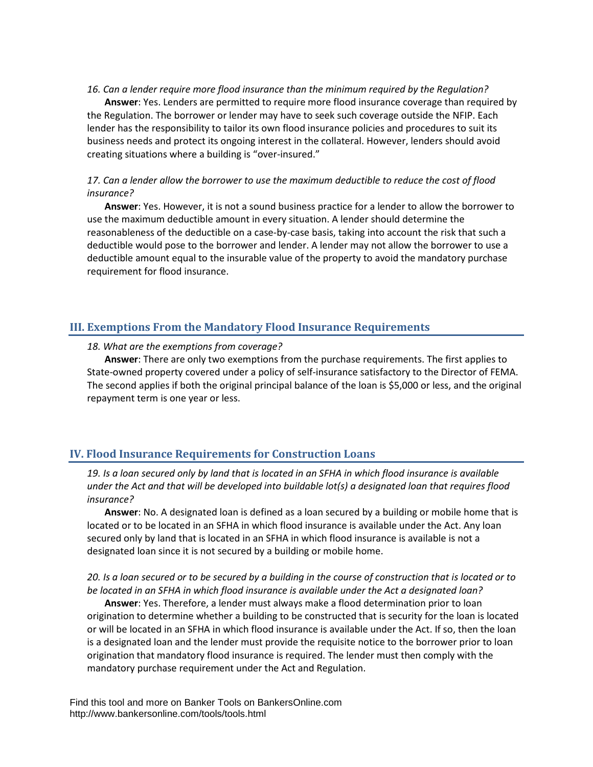#### *16. Can a lender require more flood insurance than the minimum required by the Regulation?*

**Answer**: Yes. Lenders are permitted to require more flood insurance coverage than required by the Regulation. The borrower or lender may have to seek such coverage outside the NFIP. Each lender has the responsibility to tailor its own flood insurance policies and procedures to suit its business needs and protect its ongoing interest in the collateral. However, lenders should avoid creating situations where a building is "over-insured."

## *17. Can a lender allow the borrower to use the maximum deductible to reduce the cost of flood insurance?*

**Answer**: Yes. However, it is not a sound business practice for a lender to allow the borrower to use the maximum deductible amount in every situation. A lender should determine the reasonableness of the deductible on a case-by-case basis, taking into account the risk that such a deductible would pose to the borrower and lender. A lender may not allow the borrower to use a deductible amount equal to the insurable value of the property to avoid the mandatory purchase requirement for flood insurance.

# <span id="page-6-0"></span>**III. Exemptions From the Mandatory Flood Insurance Requirements**

#### *18. What are the exemptions from coverage?*

**Answer**: There are only two exemptions from the purchase requirements. The first applies to State-owned property covered under a policy of self-insurance satisfactory to the Director of FEMA. The second applies if both the original principal balance of the loan is \$5,000 or less, and the original repayment term is one year or less.

## <span id="page-6-1"></span>**IV. Flood Insurance Requirements for Construction Loans**

*19. Is a loan secured only by land that is located in an SFHA in which flood insurance is available under the Act and that will be developed into buildable lot(s) a designated loan that requires flood insurance?* 

**Answer**: No. A designated loan is defined as a loan secured by a building or mobile home that is located or to be located in an SFHA in which flood insurance is available under the Act. Any loan secured only by land that is located in an SFHA in which flood insurance is available is not a designated loan since it is not secured by a building or mobile home.

## *20. Is a loan secured or to be secured by a building in the course of construction that is located or to be located in an SFHA in which flood insurance is available under the Act a designated loan?*

**Answer**: Yes. Therefore, a lender must always make a flood determination prior to loan origination to determine whether a building to be constructed that is security for the loan is located or will be located in an SFHA in which flood insurance is available under the Act. If so, then the loan is a designated loan and the lender must provide the requisite notice to the borrower prior to loan origination that mandatory flood insurance is required. The lender must then comply with the mandatory purchase requirement under the Act and Regulation.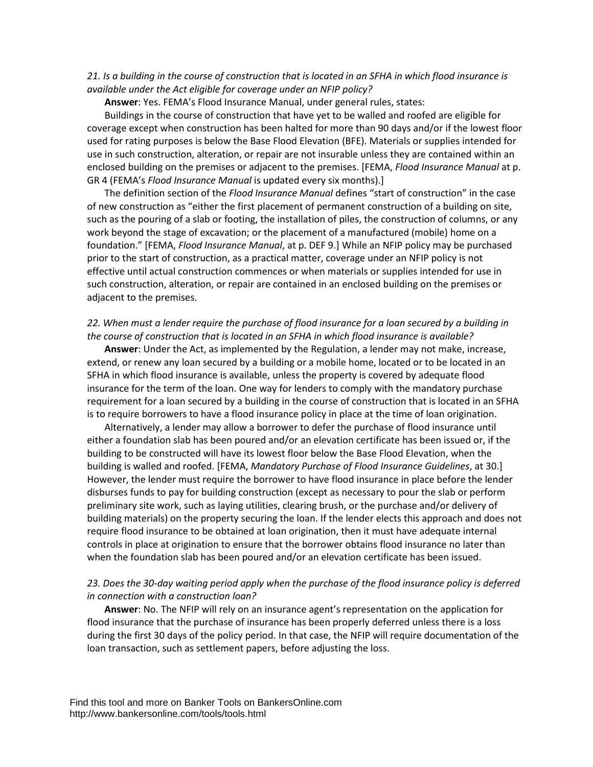#### *21. Is a building in the course of construction that is located in an SFHA in which flood insurance is available under the Act eligible for coverage under an NFIP policy?*

**Answer**: Yes. FEMA's Flood Insurance Manual, under general rules, states:

Buildings in the course of construction that have yet to be walled and roofed are eligible for coverage except when construction has been halted for more than 90 days and/or if the lowest floor used for rating purposes is below the Base Flood Elevation (BFE). Materials or supplies intended for use in such construction, alteration, or repair are not insurable unless they are contained within an enclosed building on the premises or adjacent to the premises. [FEMA, *Flood Insurance Manual* at p. GR 4 (FEMA's *Flood Insurance Manual* is updated every six months).]

The definition section of the *Flood Insurance Manual* defines "start of construction" in the case of new construction as "either the first placement of permanent construction of a building on site, such as the pouring of a slab or footing, the installation of piles, the construction of columns, or any work beyond the stage of excavation; or the placement of a manufactured (mobile) home on a foundation." [FEMA, *Flood Insurance Manual*, at p. DEF 9.] While an NFIP policy may be purchased prior to the start of construction, as a practical matter, coverage under an NFIP policy is not effective until actual construction commences or when materials or supplies intended for use in such construction, alteration, or repair are contained in an enclosed building on the premises or adjacent to the premises.

#### *22. When must a lender require the purchase of flood insurance for a loan secured by a building in the course of construction that is located in an SFHA in which flood insurance is available?*

**Answer**: Under the Act, as implemented by the Regulation, a lender may not make, increase, extend, or renew any loan secured by a building or a mobile home, located or to be located in an SFHA in which flood insurance is available, unless the property is covered by adequate flood insurance for the term of the loan. One way for lenders to comply with the mandatory purchase requirement for a loan secured by a building in the course of construction that is located in an SFHA is to require borrowers to have a flood insurance policy in place at the time of loan origination.

Alternatively, a lender may allow a borrower to defer the purchase of flood insurance until either a foundation slab has been poured and/or an elevation certificate has been issued or, if the building to be constructed will have its lowest floor below the Base Flood Elevation, when the building is walled and roofed. [FEMA, *Mandatory Purchase of Flood Insurance Guidelines*, at 30.] However, the lender must require the borrower to have flood insurance in place before the lender disburses funds to pay for building construction (except as necessary to pour the slab or perform preliminary site work, such as laying utilities, clearing brush, or the purchase and/or delivery of building materials) on the property securing the loan. If the lender elects this approach and does not require flood insurance to be obtained at loan origination, then it must have adequate internal controls in place at origination to ensure that the borrower obtains flood insurance no later than when the foundation slab has been poured and/or an elevation certificate has been issued.

## 23. Does the 30-day waiting period apply when the purchase of the flood insurance policy is deferred *in connection with a construction loan?*

**Answer**: No. The NFIP will rely on an insurance agent's representation on the application for flood insurance that the purchase of insurance has been properly deferred unless there is a loss during the first 30 days of the policy period. In that case, the NFIP will require documentation of the loan transaction, such as settlement papers, before adjusting the loss.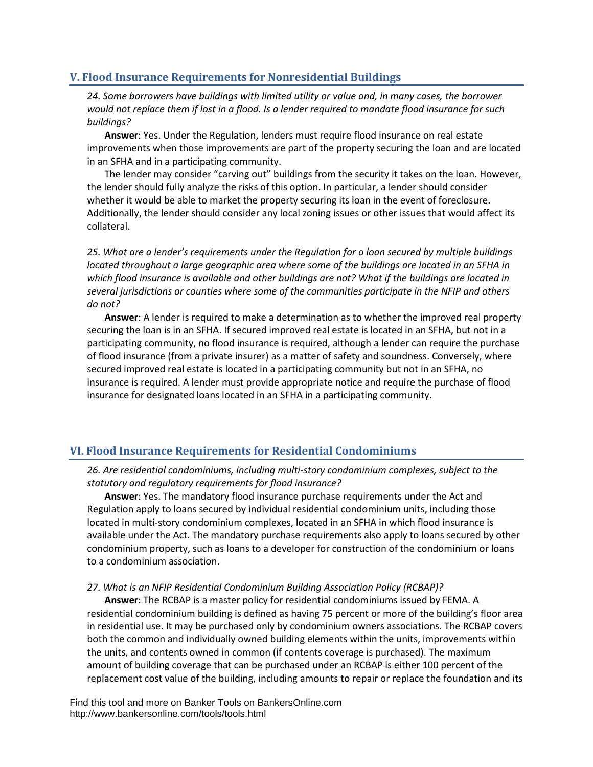# <span id="page-8-0"></span>**V. Flood Insurance Requirements for Nonresidential Buildings**

*24. Some borrowers have buildings with limited utility or value and, in many cases, the borrower would not replace them if lost in a flood. Is a lender required to mandate flood insurance for such buildings?* 

**Answer**: Yes. Under the Regulation, lenders must require flood insurance on real estate improvements when those improvements are part of the property securing the loan and are located in an SFHA and in a participating community.

The lender may consider "carving out" buildings from the security it takes on the loan. However, the lender should fully analyze the risks of this option. In particular, a lender should consider whether it would be able to market the property securing its loan in the event of foreclosure. Additionally, the lender should consider any local zoning issues or other issues that would affect its collateral.

*25. What are a lender's requirements under the Regulation for a loan secured by multiple buildings located throughout a large geographic area where some of the buildings are located in an SFHA in which flood insurance is available and other buildings are not? What if the buildings are located in several jurisdictions or counties where some of the communities participate in the NFIP and others do not?*

**Answer**: A lender is required to make a determination as to whether the improved real property securing the loan is in an SFHA. If secured improved real estate is located in an SFHA, but not in a participating community, no flood insurance is required, although a lender can require the purchase of flood insurance (from a private insurer) as a matter of safety and soundness. Conversely, where secured improved real estate is located in a participating community but not in an SFHA, no insurance is required. A lender must provide appropriate notice and require the purchase of flood insurance for designated loans located in an SFHA in a participating community.

# <span id="page-8-1"></span>**VI. Flood Insurance Requirements for Residential Condominiums**

*26. Are residential condominiums, including multi-story condominium complexes, subject to the statutory and regulatory requirements for flood insurance?* 

**Answer**: Yes. The mandatory flood insurance purchase requirements under the Act and Regulation apply to loans secured by individual residential condominium units, including those located in multi-story condominium complexes, located in an SFHA in which flood insurance is available under the Act. The mandatory purchase requirements also apply to loans secured by other condominium property, such as loans to a developer for construction of the condominium or loans to a condominium association.

#### *27. What is an NFIP Residential Condominium Building Association Policy (RCBAP)?*

**Answer**: The RCBAP is a master policy for residential condominiums issued by FEMA. A residential condominium building is defined as having 75 percent or more of the building's floor area in residential use. It may be purchased only by condominium owners associations. The RCBAP covers both the common and individually owned building elements within the units, improvements within the units, and contents owned in common (if contents coverage is purchased). The maximum amount of building coverage that can be purchased under an RCBAP is either 100 percent of the replacement cost value of the building, including amounts to repair or replace the foundation and its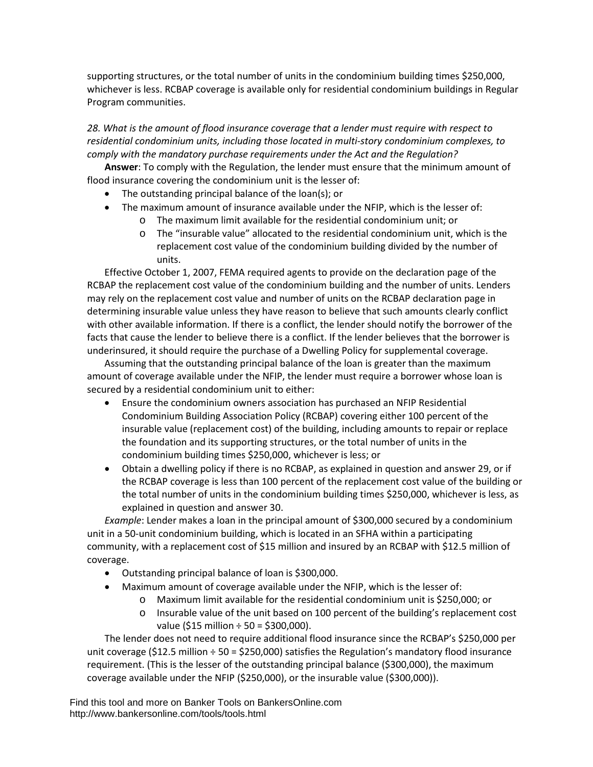supporting structures, or the total number of units in the condominium building times \$250,000, whichever is less. RCBAP coverage is available only for residential condominium buildings in Regular Program communities.

*28. What is the amount of flood insurance coverage that a lender must require with respect to residential condominium units, including those located in multi-story condominium complexes, to comply with the mandatory purchase requirements under the Act and the Regulation?* 

**Answer**: To comply with the Regulation, the lender must ensure that the minimum amount of flood insurance covering the condominium unit is the lesser of:

- The outstanding principal balance of the loan(s); or
- The maximum amount of insurance available under the NFIP, which is the lesser of:
	- o The maximum limit available for the residential condominium unit; or
	- o The "insurable value" allocated to the residential condominium unit, which is the replacement cost value of the condominium building divided by the number of units.

Effective October 1, 2007, FEMA required agents to provide on the declaration page of the RCBAP the replacement cost value of the condominium building and the number of units. Lenders may rely on the replacement cost value and number of units on the RCBAP declaration page in determining insurable value unless they have reason to believe that such amounts clearly conflict with other available information. If there is a conflict, the lender should notify the borrower of the facts that cause the lender to believe there is a conflict. If the lender believes that the borrower is underinsured, it should require the purchase of a Dwelling Policy for supplemental coverage.

Assuming that the outstanding principal balance of the loan is greater than the maximum amount of coverage available under the NFIP, the lender must require a borrower whose loan is secured by a residential condominium unit to either:

- Ensure the condominium owners association has purchased an NFIP Residential Condominium Building Association Policy (RCBAP) covering either 100 percent of the insurable value (replacement cost) of the building, including amounts to repair or replace the foundation and its supporting structures, or the total number of units in the condominium building times \$250,000, whichever is less; or
- Obtain a dwelling policy if there is no RCBAP, as explained in question and answer 29, or if the RCBAP coverage is less than 100 percent of the replacement cost value of the building or the total number of units in the condominium building times \$250,000, whichever is less, as explained in question and answer 30.

*Example*: Lender makes a loan in the principal amount of \$300,000 secured by a condominium unit in a 50-unit condominium building, which is located in an SFHA within a participating community, with a replacement cost of \$15 million and insured by an RCBAP with \$12.5 million of coverage.

- Outstanding principal balance of loan is \$300,000.
- Maximum amount of coverage available under the NFIP, which is the lesser of:
	- o Maximum limit available for the residential condominium unit is \$250,000; or
		- o Insurable value of the unit based on 100 percent of the building's replacement cost value (\$15 million  $\div$  50 = \$300,000).

The lender does not need to require additional flood insurance since the RCBAP's \$250,000 per unit coverage (\$12.5 million  $\div$  50 = \$250,000) satisfies the Regulation's mandatory flood insurance requirement. (This is the lesser of the outstanding principal balance (\$300,000), the maximum coverage available under the NFIP (\$250,000), or the insurable value (\$300,000)).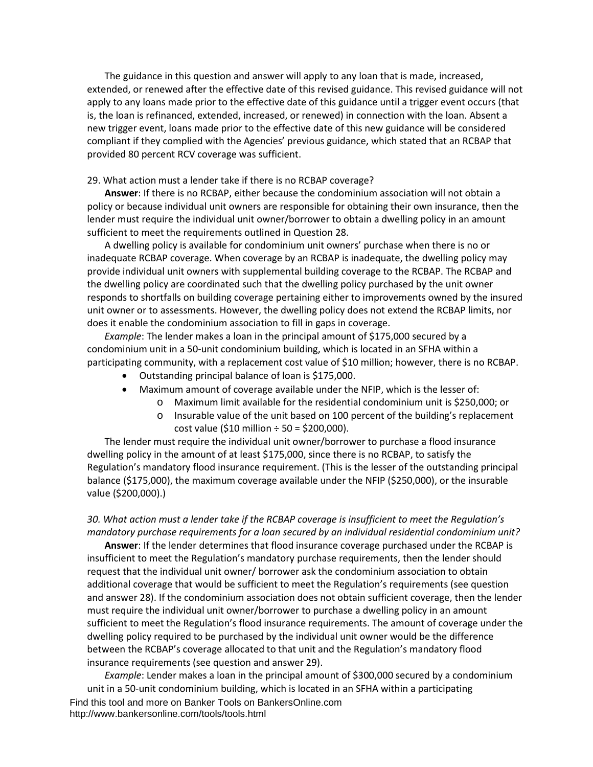The guidance in this question and answer will apply to any loan that is made, increased, extended, or renewed after the effective date of this revised guidance. This revised guidance will not apply to any loans made prior to the effective date of this guidance until a trigger event occurs (that is, the loan is refinanced, extended, increased, or renewed) in connection with the loan. Absent a new trigger event, loans made prior to the effective date of this new guidance will be considered compliant if they complied with the Agencies' previous guidance, which stated that an RCBAP that provided 80 percent RCV coverage was sufficient.

#### 29. What action must a lender take if there is no RCBAP coverage?

**Answer**: If there is no RCBAP, either because the condominium association will not obtain a policy or because individual unit owners are responsible for obtaining their own insurance, then the lender must require the individual unit owner/borrower to obtain a dwelling policy in an amount sufficient to meet the requirements outlined in Question 28.

A dwelling policy is available for condominium unit owners' purchase when there is no or inadequate RCBAP coverage. When coverage by an RCBAP is inadequate, the dwelling policy may provide individual unit owners with supplemental building coverage to the RCBAP. The RCBAP and the dwelling policy are coordinated such that the dwelling policy purchased by the unit owner responds to shortfalls on building coverage pertaining either to improvements owned by the insured unit owner or to assessments. However, the dwelling policy does not extend the RCBAP limits, nor does it enable the condominium association to fill in gaps in coverage.

*Example*: The lender makes a loan in the principal amount of \$175,000 secured by a condominium unit in a 50-unit condominium building, which is located in an SFHA within a participating community, with a replacement cost value of \$10 million; however, there is no RCBAP.

- Outstanding principal balance of loan is \$175,000.
- Maximum amount of coverage available under the NFIP, which is the lesser of:
	- o Maximum limit available for the residential condominium unit is \$250,000; or
	- o Insurable value of the unit based on 100 percent of the building's replacement cost value (\$10 million  $\div$  50 = \$200,000).

The lender must require the individual unit owner/borrower to purchase a flood insurance dwelling policy in the amount of at least \$175,000, since there is no RCBAP, to satisfy the Regulation's mandatory flood insurance requirement. (This is the lesser of the outstanding principal balance (\$175,000), the maximum coverage available under the NFIP (\$250,000), or the insurable value (\$200,000).)

## *30. What action must a lender take if the RCBAP coverage is insufficient to meet the Regulation's mandatory purchase requirements for a loan secured by an individual residential condominium unit?*

**Answer**: If the lender determines that flood insurance coverage purchased under the RCBAP is insufficient to meet the Regulation's mandatory purchase requirements, then the lender should request that the individual unit owner/ borrower ask the condominium association to obtain additional coverage that would be sufficient to meet the Regulation's requirements (see question and answer 28). If the condominium association does not obtain sufficient coverage, then the lender must require the individual unit owner/borrower to purchase a dwelling policy in an amount sufficient to meet the Regulation's flood insurance requirements. The amount of coverage under the dwelling policy required to be purchased by the individual unit owner would be the difference between the RCBAP's coverage allocated to that unit and the Regulation's mandatory flood insurance requirements (see question and answer 29).

Find this tool and more on Banker Tools on BankersOnline.com http://www.bankersonline.com/tools/tools.html *Example*: Lender makes a loan in the principal amount of \$300,000 secured by a condominium unit in a 50-unit condominium building, which is located in an SFHA within a participating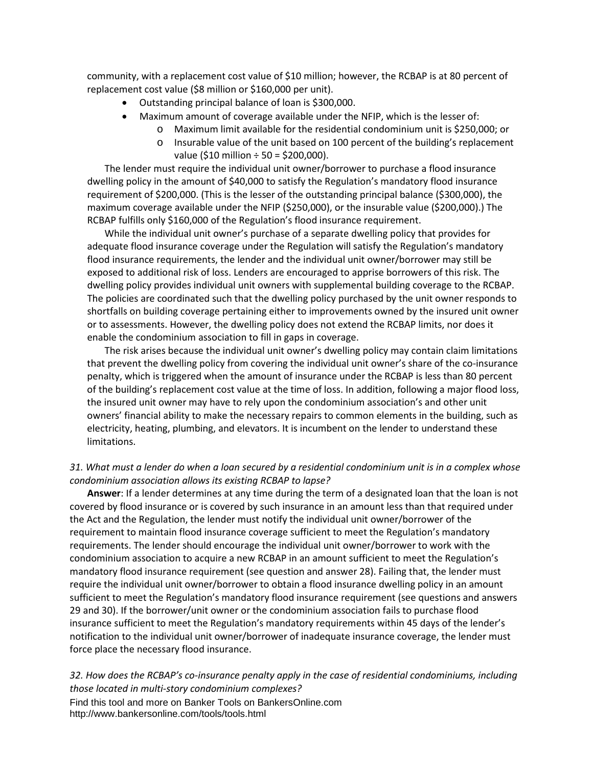community, with a replacement cost value of \$10 million; however, the RCBAP is at 80 percent of replacement cost value (\$8 million or \$160,000 per unit).

- Outstanding principal balance of loan is \$300,000.
- Maximum amount of coverage available under the NFIP, which is the lesser of:
	- o Maximum limit available for the residential condominium unit is \$250,000; or
	- o Insurable value of the unit based on 100 percent of the building's replacement value (\$10 million  $\div$  50 = \$200,000).

The lender must require the individual unit owner/borrower to purchase a flood insurance dwelling policy in the amount of \$40,000 to satisfy the Regulation's mandatory flood insurance requirement of \$200,000. (This is the lesser of the outstanding principal balance (\$300,000), the maximum coverage available under the NFIP (\$250,000), or the insurable value (\$200,000).) The RCBAP fulfills only \$160,000 of the Regulation's flood insurance requirement.

While the individual unit owner's purchase of a separate dwelling policy that provides for adequate flood insurance coverage under the Regulation will satisfy the Regulation's mandatory flood insurance requirements, the lender and the individual unit owner/borrower may still be exposed to additional risk of loss. Lenders are encouraged to apprise borrowers of this risk. The dwelling policy provides individual unit owners with supplemental building coverage to the RCBAP. The policies are coordinated such that the dwelling policy purchased by the unit owner responds to shortfalls on building coverage pertaining either to improvements owned by the insured unit owner or to assessments. However, the dwelling policy does not extend the RCBAP limits, nor does it enable the condominium association to fill in gaps in coverage.

The risk arises because the individual unit owner's dwelling policy may contain claim limitations that prevent the dwelling policy from covering the individual unit owner's share of the co-insurance penalty, which is triggered when the amount of insurance under the RCBAP is less than 80 percent of the building's replacement cost value at the time of loss. In addition, following a major flood loss, the insured unit owner may have to rely upon the condominium association's and other unit owners' financial ability to make the necessary repairs to common elements in the building, such as electricity, heating, plumbing, and elevators. It is incumbent on the lender to understand these limitations.

# *31. What must a lender do when a loan secured by a residential condominium unit is in a complex whose condominium association allows its existing RCBAP to lapse?*

**Answer**: If a lender determines at any time during the term of a designated loan that the loan is not covered by flood insurance or is covered by such insurance in an amount less than that required under the Act and the Regulation, the lender must notify the individual unit owner/borrower of the requirement to maintain flood insurance coverage sufficient to meet the Regulation's mandatory requirements. The lender should encourage the individual unit owner/borrower to work with the condominium association to acquire a new RCBAP in an amount sufficient to meet the Regulation's mandatory flood insurance requirement (see question and answer 28). Failing that, the lender must require the individual unit owner/borrower to obtain a flood insurance dwelling policy in an amount sufficient to meet the Regulation's mandatory flood insurance requirement (see questions and answers 29 and 30). If the borrower/unit owner or the condominium association fails to purchase flood insurance sufficient to meet the Regulation's mandatory requirements within 45 days of the lender's notification to the individual unit owner/borrower of inadequate insurance coverage, the lender must force place the necessary flood insurance.

# *32. How does the RCBAP's co-insurance penalty apply in the case of residential condominiums, including those located in multi-story condominium complexes?*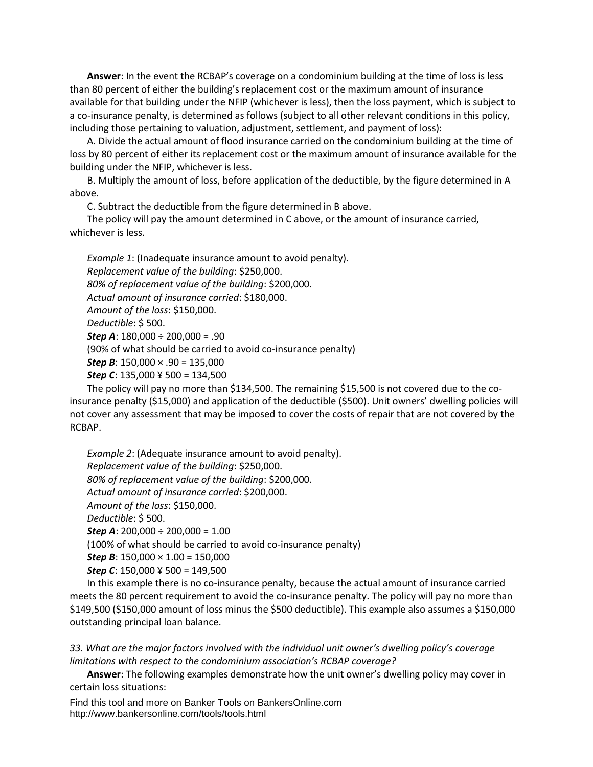**Answer**: In the event the RCBAP's coverage on a condominium building at the time of loss is less than 80 percent of either the building's replacement cost or the maximum amount of insurance available for that building under the NFIP (whichever is less), then the loss payment, which is subject to a co-insurance penalty, is determined as follows (subject to all other relevant conditions in this policy, including those pertaining to valuation, adjustment, settlement, and payment of loss):

A. Divide the actual amount of flood insurance carried on the condominium building at the time of loss by 80 percent of either its replacement cost or the maximum amount of insurance available for the building under the NFIP, whichever is less.

B. Multiply the amount of loss, before application of the deductible, by the figure determined in A above.

C. Subtract the deductible from the figure determined in B above.

The policy will pay the amount determined in C above, or the amount of insurance carried, whichever is less.

*Example 1*: (Inadequate insurance amount to avoid penalty). *Replacement value of the building*: \$250,000. *80% of replacement value of the building*: \$200,000. *Actual amount of insurance carried*: \$180,000. *Amount of the loss*: \$150,000. *Deductible*: \$ 500. *Step A*: 180,000 ÷ 200,000 = .90 (90% of what should be carried to avoid co-insurance penalty) *Step B*: 150,000 × .90 = 135,000 *Step C*: 135,000 ¥ 500 = 134,500

The policy will pay no more than \$134,500. The remaining \$15,500 is not covered due to the coinsurance penalty (\$15,000) and application of the deductible (\$500). Unit owners' dwelling policies will not cover any assessment that may be imposed to cover the costs of repair that are not covered by the RCBAP.

*Example 2*: (Adequate insurance amount to avoid penalty). *Replacement value of the building*: \$250,000. *80% of replacement value of the building*: \$200,000. *Actual amount of insurance carried*: \$200,000. *Amount of the loss*: \$150,000. *Deductible*: \$ 500. *Step A*: 200,000 ÷ 200,000 = 1.00 (100% of what should be carried to avoid co-insurance penalty) *Step B*:  $150,000 \times 1.00 = 150,000$ *Step C*: 150,000 ¥ 500 = 149,500

In this example there is no co-insurance penalty, because the actual amount of insurance carried meets the 80 percent requirement to avoid the co-insurance penalty. The policy will pay no more than \$149,500 (\$150,000 amount of loss minus the \$500 deductible). This example also assumes a \$150,000 outstanding principal loan balance.

*33. What are the major factors involved with the individual unit owner's dwelling policy's coverage limitations with respect to the condominium association's RCBAP coverage?* 

**Answer**: The following examples demonstrate how the unit owner's dwelling policy may cover in certain loss situations: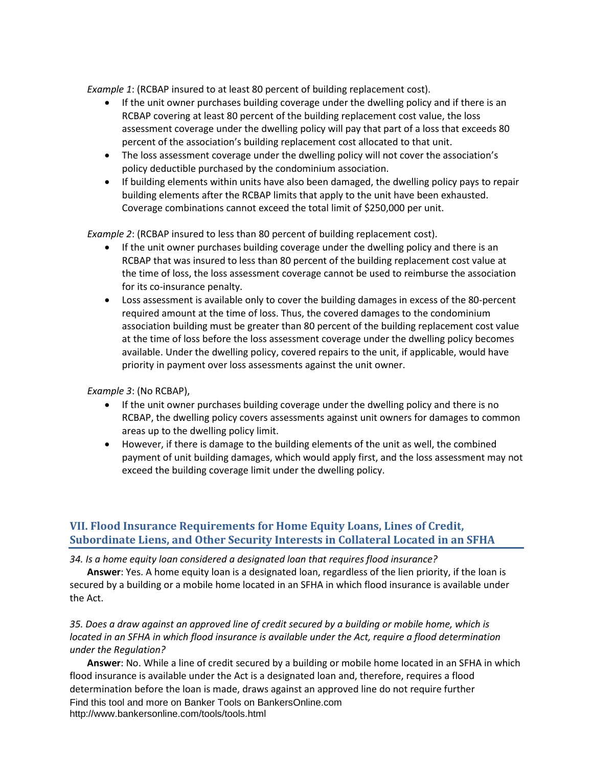*Example 1*: (RCBAP insured to at least 80 percent of building replacement cost).

- If the unit owner purchases building coverage under the dwelling policy and if there is an RCBAP covering at least 80 percent of the building replacement cost value, the loss assessment coverage under the dwelling policy will pay that part of a loss that exceeds 80 percent of the association's building replacement cost allocated to that unit.
- The loss assessment coverage under the dwelling policy will not cover the association's policy deductible purchased by the condominium association.
- If building elements within units have also been damaged, the dwelling policy pays to repair building elements after the RCBAP limits that apply to the unit have been exhausted. Coverage combinations cannot exceed the total limit of \$250,000 per unit.

*Example 2*: (RCBAP insured to less than 80 percent of building replacement cost).

- If the unit owner purchases building coverage under the dwelling policy and there is an RCBAP that was insured to less than 80 percent of the building replacement cost value at the time of loss, the loss assessment coverage cannot be used to reimburse the association for its co-insurance penalty.
- Loss assessment is available only to cover the building damages in excess of the 80-percent required amount at the time of loss. Thus, the covered damages to the condominium association building must be greater than 80 percent of the building replacement cost value at the time of loss before the loss assessment coverage under the dwelling policy becomes available. Under the dwelling policy, covered repairs to the unit, if applicable, would have priority in payment over loss assessments against the unit owner.

*Example 3*: (No RCBAP),

- If the unit owner purchases building coverage under the dwelling policy and there is no RCBAP, the dwelling policy covers assessments against unit owners for damages to common areas up to the dwelling policy limit.
- However, if there is damage to the building elements of the unit as well, the combined payment of unit building damages, which would apply first, and the loss assessment may not exceed the building coverage limit under the dwelling policy.

# <span id="page-13-0"></span>**VII. Flood Insurance Requirements for Home Equity Loans, Lines of Credit, Subordinate Liens, and Other Security Interests in Collateral Located in an SFHA**

*34. Is a home equity loan considered a designated loan that requires flood insurance?* 

**Answer**: Yes. A home equity loan is a designated loan, regardless of the lien priority, if the loan is secured by a building or a mobile home located in an SFHA in which flood insurance is available under the Act.

*35. Does a draw against an approved line of credit secured by a building or mobile home, which is located in an SFHA in which flood insurance is available under the Act, require a flood determination under the Regulation?* 

Find this tool and more on Banker Tools on BankersOnline.com http://www.bankersonline.com/tools/tools.html **Answer**: No. While a line of credit secured by a building or mobile home located in an SFHA in which flood insurance is available under the Act is a designated loan and, therefore, requires a flood determination before the loan is made, draws against an approved line do not require further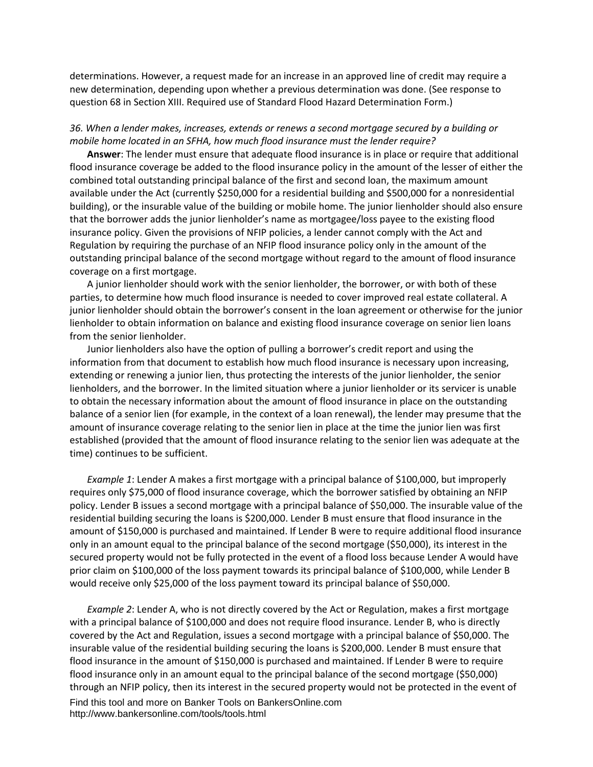determinations. However, a request made for an increase in an approved line of credit may require a new determination, depending upon whether a previous determination was done. (See response to question 68 in Section XIII. Required use of Standard Flood Hazard Determination Form.)

#### *36. When a lender makes, increases, extends or renews a second mortgage secured by a building or mobile home located in an SFHA, how much flood insurance must the lender require?*

**Answer**: The lender must ensure that adequate flood insurance is in place or require that additional flood insurance coverage be added to the flood insurance policy in the amount of the lesser of either the combined total outstanding principal balance of the first and second loan, the maximum amount available under the Act (currently \$250,000 for a residential building and \$500,000 for a nonresidential building), or the insurable value of the building or mobile home. The junior lienholder should also ensure that the borrower adds the junior lienholder's name as mortgagee/loss payee to the existing flood insurance policy. Given the provisions of NFIP policies, a lender cannot comply with the Act and Regulation by requiring the purchase of an NFIP flood insurance policy only in the amount of the outstanding principal balance of the second mortgage without regard to the amount of flood insurance coverage on a first mortgage.

A junior lienholder should work with the senior lienholder, the borrower, or with both of these parties, to determine how much flood insurance is needed to cover improved real estate collateral. A junior lienholder should obtain the borrower's consent in the loan agreement or otherwise for the junior lienholder to obtain information on balance and existing flood insurance coverage on senior lien loans from the senior lienholder.

Junior lienholders also have the option of pulling a borrower's credit report and using the information from that document to establish how much flood insurance is necessary upon increasing, extending or renewing a junior lien, thus protecting the interests of the junior lienholder, the senior lienholders, and the borrower. In the limited situation where a junior lienholder or its servicer is unable to obtain the necessary information about the amount of flood insurance in place on the outstanding balance of a senior lien (for example, in the context of a loan renewal), the lender may presume that the amount of insurance coverage relating to the senior lien in place at the time the junior lien was first established (provided that the amount of flood insurance relating to the senior lien was adequate at the time) continues to be sufficient.

*Example 1*: Lender A makes a first mortgage with a principal balance of \$100,000, but improperly requires only \$75,000 of flood insurance coverage, which the borrower satisfied by obtaining an NFIP policy. Lender B issues a second mortgage with a principal balance of \$50,000. The insurable value of the residential building securing the loans is \$200,000. Lender B must ensure that flood insurance in the amount of \$150,000 is purchased and maintained. If Lender B were to require additional flood insurance only in an amount equal to the principal balance of the second mortgage (\$50,000), its interest in the secured property would not be fully protected in the event of a flood loss because Lender A would have prior claim on \$100,000 of the loss payment towards its principal balance of \$100,000, while Lender B would receive only \$25,000 of the loss payment toward its principal balance of \$50,000.

Find this tool and more on Banker Tools on BankersOnline.com http://www.bankersonline.com/tools/tools.html *Example 2*: Lender A, who is not directly covered by the Act or Regulation, makes a first mortgage with a principal balance of \$100,000 and does not require flood insurance. Lender B, who is directly covered by the Act and Regulation, issues a second mortgage with a principal balance of \$50,000. The insurable value of the residential building securing the loans is \$200,000. Lender B must ensure that flood insurance in the amount of \$150,000 is purchased and maintained. If Lender B were to require flood insurance only in an amount equal to the principal balance of the second mortgage (\$50,000) through an NFIP policy, then its interest in the secured property would not be protected in the event of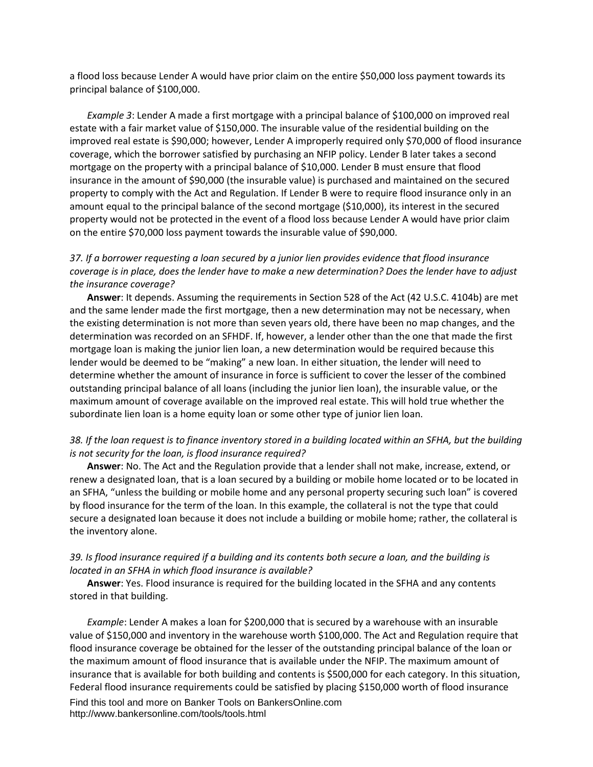a flood loss because Lender A would have prior claim on the entire \$50,000 loss payment towards its principal balance of \$100,000.

*Example 3*: Lender A made a first mortgage with a principal balance of \$100,000 on improved real estate with a fair market value of \$150,000. The insurable value of the residential building on the improved real estate is \$90,000; however, Lender A improperly required only \$70,000 of flood insurance coverage, which the borrower satisfied by purchasing an NFIP policy. Lender B later takes a second mortgage on the property with a principal balance of \$10,000. Lender B must ensure that flood insurance in the amount of \$90,000 (the insurable value) is purchased and maintained on the secured property to comply with the Act and Regulation. If Lender B were to require flood insurance only in an amount equal to the principal balance of the second mortgage (\$10,000), its interest in the secured property would not be protected in the event of a flood loss because Lender A would have prior claim on the entire \$70,000 loss payment towards the insurable value of \$90,000.

## *37. If a borrower requesting a loan secured by a junior lien provides evidence that flood insurance coverage is in place, does the lender have to make a new determination? Does the lender have to adjust the insurance coverage?*

**Answer**: It depends. Assuming the requirements in Section 528 of the Act (42 U.S.C. 4104b) are met and the same lender made the first mortgage, then a new determination may not be necessary, when the existing determination is not more than seven years old, there have been no map changes, and the determination was recorded on an SFHDF. If, however, a lender other than the one that made the first mortgage loan is making the junior lien loan, a new determination would be required because this lender would be deemed to be "making" a new loan. In either situation, the lender will need to determine whether the amount of insurance in force is sufficient to cover the lesser of the combined outstanding principal balance of all loans (including the junior lien loan), the insurable value, or the maximum amount of coverage available on the improved real estate. This will hold true whether the subordinate lien loan is a home equity loan or some other type of junior lien loan.

#### *38. If the loan request is to finance inventory stored in a building located within an SFHA, but the building is not security for the loan, is flood insurance required?*

**Answer**: No. The Act and the Regulation provide that a lender shall not make, increase, extend, or renew a designated loan, that is a loan secured by a building or mobile home located or to be located in an SFHA, "unless the building or mobile home and any personal property securing such loan" is covered by flood insurance for the term of the loan. In this example, the collateral is not the type that could secure a designated loan because it does not include a building or mobile home; rather, the collateral is the inventory alone.

#### *39. Is flood insurance required if a building and its contents both secure a loan, and the building is located in an SFHA in which flood insurance is available?*

**Answer**: Yes. Flood insurance is required for the building located in the SFHA and any contents stored in that building.

*Example*: Lender A makes a loan for \$200,000 that is secured by a warehouse with an insurable value of \$150,000 and inventory in the warehouse worth \$100,000. The Act and Regulation require that flood insurance coverage be obtained for the lesser of the outstanding principal balance of the loan or the maximum amount of flood insurance that is available under the NFIP. The maximum amount of insurance that is available for both building and contents is \$500,000 for each category. In this situation, Federal flood insurance requirements could be satisfied by placing \$150,000 worth of flood insurance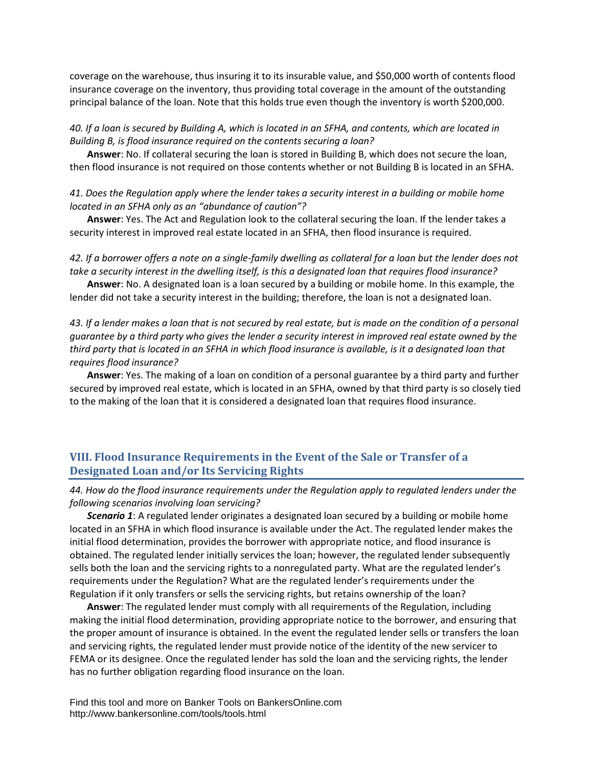coverage on the warehouse, thus insuring it to its insurable value, and \$50,000 worth of contents flood insurance coverage on the inventory, thus providing total coverage in the amount of the outstanding principal balance of the loan. Note that this holds true even though the inventory is worth \$200,000.

#### *40. If a loan is secured by Building A, which is located in an SFHA, and contents, which are located in Building B, is flood insurance required on the contents securing a loan?*

**Answer**: No. If collateral securing the loan is stored in Building B, which does not secure the loan, then flood insurance is not required on those contents whether or not Building B is located in an SFHA.

*41. Does the Regulation apply where the lender takes a security interest in a building or mobile home located in an SFHA only as an "abundance of caution"?* 

**Answer**: Yes. The Act and Regulation look to the collateral securing the loan. If the lender takes a security interest in improved real estate located in an SFHA, then flood insurance is required.

*42. If a borrower offers a note on a single-family dwelling as collateral for a loan but the lender does not take a security interest in the dwelling itself, is this a designated loan that requires flood insurance?* 

**Answer**: No. A designated loan is a loan secured by a building or mobile home. In this example, the lender did not take a security interest in the building; therefore, the loan is not a designated loan.

*43. If a lender makes a loan that is not secured by real estate, but is made on the condition of a personal guarantee by a third party who gives the lender a security interest in improved real estate owned by the third party that is located in an SFHA in which flood insurance is available, is it a designated loan that requires flood insurance?* 

**Answer**: Yes. The making of a loan on condition of a personal guarantee by a third party and further secured by improved real estate, which is located in an SFHA, owned by that third party is so closely tied to the making of the loan that it is considered a designated loan that requires flood insurance.

# <span id="page-16-0"></span>**VIII. Flood Insurance Requirements in the Event of the Sale or Transfer of a Designated Loan and/or Its Servicing Rights**

## *44. How do the flood insurance requirements under the Regulation apply to regulated lenders under the following scenarios involving loan servicing?*

*Scenario 1*: A regulated lender originates a designated loan secured by a building or mobile home located in an SFHA in which flood insurance is available under the Act. The regulated lender makes the initial flood determination, provides the borrower with appropriate notice, and flood insurance is obtained. The regulated lender initially services the loan; however, the regulated lender subsequently sells both the loan and the servicing rights to a nonregulated party. What are the regulated lender's requirements under the Regulation? What are the regulated lender's requirements under the Regulation if it only transfers or sells the servicing rights, but retains ownership of the loan?

**Answer**: The regulated lender must comply with all requirements of the Regulation, including making the initial flood determination, providing appropriate notice to the borrower, and ensuring that the proper amount of insurance is obtained. In the event the regulated lender sells or transfers the loan and servicing rights, the regulated lender must provide notice of the identity of the new servicer to FEMA or its designee. Once the regulated lender has sold the loan and the servicing rights, the lender has no further obligation regarding flood insurance on the loan.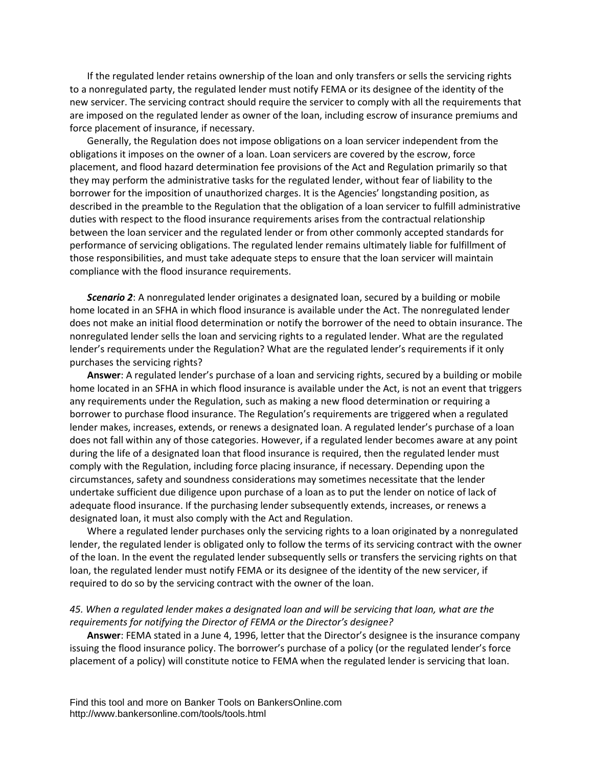If the regulated lender retains ownership of the loan and only transfers or sells the servicing rights to a nonregulated party, the regulated lender must notify FEMA or its designee of the identity of the new servicer. The servicing contract should require the servicer to comply with all the requirements that are imposed on the regulated lender as owner of the loan, including escrow of insurance premiums and force placement of insurance, if necessary.

Generally, the Regulation does not impose obligations on a loan servicer independent from the obligations it imposes on the owner of a loan. Loan servicers are covered by the escrow, force placement, and flood hazard determination fee provisions of the Act and Regulation primarily so that they may perform the administrative tasks for the regulated lender, without fear of liability to the borrower for the imposition of unauthorized charges. It is the Agencies' longstanding position, as described in the preamble to the Regulation that the obligation of a loan servicer to fulfill administrative duties with respect to the flood insurance requirements arises from the contractual relationship between the loan servicer and the regulated lender or from other commonly accepted standards for performance of servicing obligations. The regulated lender remains ultimately liable for fulfillment of those responsibilities, and must take adequate steps to ensure that the loan servicer will maintain compliance with the flood insurance requirements.

*Scenario 2*: A nonregulated lender originates a designated loan, secured by a building or mobile home located in an SFHA in which flood insurance is available under the Act. The nonregulated lender does not make an initial flood determination or notify the borrower of the need to obtain insurance. The nonregulated lender sells the loan and servicing rights to a regulated lender. What are the regulated lender's requirements under the Regulation? What are the regulated lender's requirements if it only purchases the servicing rights?

**Answer**: A regulated lender's purchase of a loan and servicing rights, secured by a building or mobile home located in an SFHA in which flood insurance is available under the Act, is not an event that triggers any requirements under the Regulation, such as making a new flood determination or requiring a borrower to purchase flood insurance. The Regulation's requirements are triggered when a regulated lender makes, increases, extends, or renews a designated loan. A regulated lender's purchase of a loan does not fall within any of those categories. However, if a regulated lender becomes aware at any point during the life of a designated loan that flood insurance is required, then the regulated lender must comply with the Regulation, including force placing insurance, if necessary. Depending upon the circumstances, safety and soundness considerations may sometimes necessitate that the lender undertake sufficient due diligence upon purchase of a loan as to put the lender on notice of lack of adequate flood insurance. If the purchasing lender subsequently extends, increases, or renews a designated loan, it must also comply with the Act and Regulation.

Where a regulated lender purchases only the servicing rights to a loan originated by a nonregulated lender, the regulated lender is obligated only to follow the terms of its servicing contract with the owner of the loan. In the event the regulated lender subsequently sells or transfers the servicing rights on that loan, the regulated lender must notify FEMA or its designee of the identity of the new servicer, if required to do so by the servicing contract with the owner of the loan.

## *45. When a regulated lender makes a designated loan and will be servicing that loan, what are the requirements for notifying the Director of FEMA or the Director's designee?*

**Answer**: FEMA stated in a June 4, 1996, letter that the Director's designee is the insurance company issuing the flood insurance policy. The borrower's purchase of a policy (or the regulated lender's force placement of a policy) will constitute notice to FEMA when the regulated lender is servicing that loan.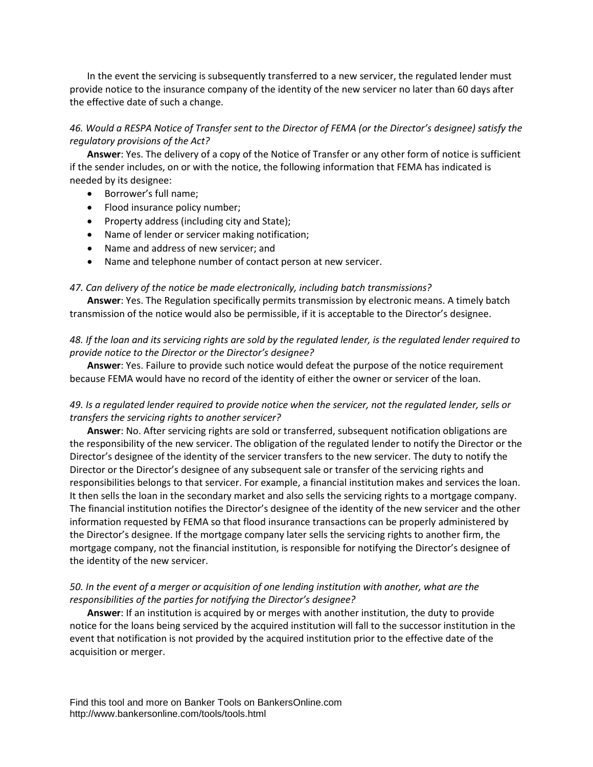In the event the servicing is subsequently transferred to a new servicer, the regulated lender must provide notice to the insurance company of the identity of the new servicer no later than 60 days after the effective date of such a change.

## *46. Would a RESPA Notice of Transfer sent to the Director of FEMA (or the Director's designee) satisfy the regulatory provisions of the Act?*

**Answer**: Yes. The delivery of a copy of the Notice of Transfer or any other form of notice is sufficient if the sender includes, on or with the notice, the following information that FEMA has indicated is needed by its designee:

- Borrower's full name;
- Flood insurance policy number;
- Property address (including city and State);
- Name of lender or servicer making notification;
- Name and address of new servicer; and
- Name and telephone number of contact person at new servicer.

#### *47. Can delivery of the notice be made electronically, including batch transmissions?*

**Answer**: Yes. The Regulation specifically permits transmission by electronic means. A timely batch transmission of the notice would also be permissible, if it is acceptable to the Director's designee.

#### *48. If the loan and its servicing rights are sold by the regulated lender, is the regulated lender required to provide notice to the Director or the Director's designee?*

**Answer**: Yes. Failure to provide such notice would defeat the purpose of the notice requirement because FEMA would have no record of the identity of either the owner or servicer of the loan.

#### *49. Is a regulated lender required to provide notice when the servicer, not the regulated lender, sells or transfers the servicing rights to another servicer?*

**Answer**: No. After servicing rights are sold or transferred, subsequent notification obligations are the responsibility of the new servicer. The obligation of the regulated lender to notify the Director or the Director's designee of the identity of the servicer transfers to the new servicer. The duty to notify the Director or the Director's designee of any subsequent sale or transfer of the servicing rights and responsibilities belongs to that servicer. For example, a financial institution makes and services the loan. It then sells the loan in the secondary market and also sells the servicing rights to a mortgage company. The financial institution notifies the Director's designee of the identity of the new servicer and the other information requested by FEMA so that flood insurance transactions can be properly administered by the Director's designee. If the mortgage company later sells the servicing rights to another firm, the mortgage company, not the financial institution, is responsible for notifying the Director's designee of the identity of the new servicer.

#### *50. In the event of a merger or acquisition of one lending institution with another, what are the responsibilities of the parties for notifying the Director's designee?*

**Answer**: If an institution is acquired by or merges with another institution, the duty to provide notice for the loans being serviced by the acquired institution will fall to the successor institution in the event that notification is not provided by the acquired institution prior to the effective date of the acquisition or merger.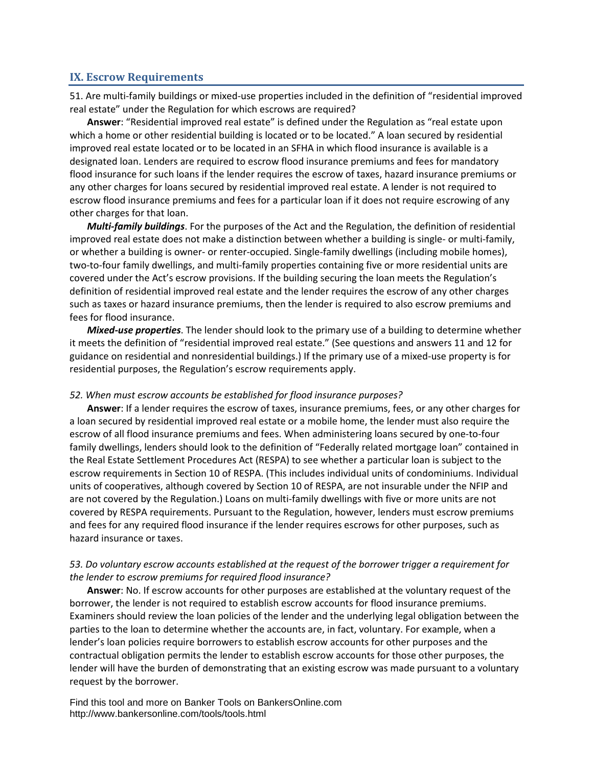## <span id="page-19-0"></span>**IX. Escrow Requirements**

51. Are multi-family buildings or mixed-use properties included in the definition of "residential improved real estate" under the Regulation for which escrows are required?

**Answer**: "Residential improved real estate" is defined under the Regulation as "real estate upon which a home or other residential building is located or to be located." A loan secured by residential improved real estate located or to be located in an SFHA in which flood insurance is available is a designated loan. Lenders are required to escrow flood insurance premiums and fees for mandatory flood insurance for such loans if the lender requires the escrow of taxes, hazard insurance premiums or any other charges for loans secured by residential improved real estate. A lender is not required to escrow flood insurance premiums and fees for a particular loan if it does not require escrowing of any other charges for that loan.

*Multi-family buildings*. For the purposes of the Act and the Regulation, the definition of residential improved real estate does not make a distinction between whether a building is single- or multi-family, or whether a building is owner- or renter-occupied. Single-family dwellings (including mobile homes), two-to-four family dwellings, and multi-family properties containing five or more residential units are covered under the Act's escrow provisions. If the building securing the loan meets the Regulation's definition of residential improved real estate and the lender requires the escrow of any other charges such as taxes or hazard insurance premiums, then the lender is required to also escrow premiums and fees for flood insurance.

*Mixed-use properties*. The lender should look to the primary use of a building to determine whether it meets the definition of "residential improved real estate." (See questions and answers 11 and 12 for guidance on residential and nonresidential buildings.) If the primary use of a mixed-use property is for residential purposes, the Regulation's escrow requirements apply.

#### *52. When must escrow accounts be established for flood insurance purposes?*

**Answer**: If a lender requires the escrow of taxes, insurance premiums, fees, or any other charges for a loan secured by residential improved real estate or a mobile home, the lender must also require the escrow of all flood insurance premiums and fees. When administering loans secured by one-to-four family dwellings, lenders should look to the definition of "Federally related mortgage loan" contained in the Real Estate Settlement Procedures Act (RESPA) to see whether a particular loan is subject to the escrow requirements in Section 10 of RESPA. (This includes individual units of condominiums. Individual units of cooperatives, although covered by Section 10 of RESPA, are not insurable under the NFIP and are not covered by the Regulation.) Loans on multi-family dwellings with five or more units are not covered by RESPA requirements. Pursuant to the Regulation, however, lenders must escrow premiums and fees for any required flood insurance if the lender requires escrows for other purposes, such as hazard insurance or taxes.

## *53. Do voluntary escrow accounts established at the request of the borrower trigger a requirement for the lender to escrow premiums for required flood insurance?*

**Answer**: No. If escrow accounts for other purposes are established at the voluntary request of the borrower, the lender is not required to establish escrow accounts for flood insurance premiums. Examiners should review the loan policies of the lender and the underlying legal obligation between the parties to the loan to determine whether the accounts are, in fact, voluntary. For example, when a lender's loan policies require borrowers to establish escrow accounts for other purposes and the contractual obligation permits the lender to establish escrow accounts for those other purposes, the lender will have the burden of demonstrating that an existing escrow was made pursuant to a voluntary request by the borrower.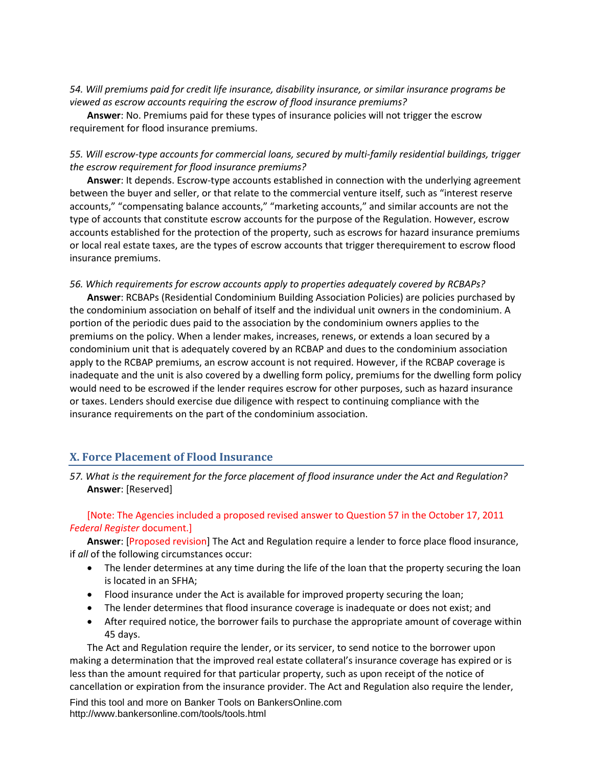*54. Will premiums paid for credit life insurance, disability insurance, or similar insurance programs be viewed as escrow accounts requiring the escrow of flood insurance premiums?* 

**Answer**: No. Premiums paid for these types of insurance policies will not trigger the escrow requirement for flood insurance premiums.

## *55. Will escrow-type accounts for commercial loans, secured by multi-family residential buildings, trigger the escrow requirement for flood insurance premiums?*

**Answer**: It depends. Escrow-type accounts established in connection with the underlying agreement between the buyer and seller, or that relate to the commercial venture itself, such as "interest reserve accounts," "compensating balance accounts," "marketing accounts," and similar accounts are not the type of accounts that constitute escrow accounts for the purpose of the Regulation. However, escrow accounts established for the protection of the property, such as escrows for hazard insurance premiums or local real estate taxes, are the types of escrow accounts that trigger therequirement to escrow flood insurance premiums.

#### *56. Which requirements for escrow accounts apply to properties adequately covered by RCBAPs?*

**Answer**: RCBAPs (Residential Condominium Building Association Policies) are policies purchased by the condominium association on behalf of itself and the individual unit owners in the condominium. A portion of the periodic dues paid to the association by the condominium owners applies to the premiums on the policy. When a lender makes, increases, renews, or extends a loan secured by a condominium unit that is adequately covered by an RCBAP and dues to the condominium association apply to the RCBAP premiums, an escrow account is not required. However, if the RCBAP coverage is inadequate and the unit is also covered by a dwelling form policy, premiums for the dwelling form policy would need to be escrowed if the lender requires escrow for other purposes, such as hazard insurance or taxes. Lenders should exercise due diligence with respect to continuing compliance with the insurance requirements on the part of the condominium association.

# <span id="page-20-0"></span>**X. Force Placement of Flood Insurance**

*57. What is the requirement for the force placement of flood insurance under the Act and Regulation?*  **Answer**: [Reserved]

[Note: The Agencies included a proposed revised answer to Question 57 in the October 17, 2011 *Federal Register* document.]

**Answer**: [Proposed revision] The Act and Regulation require a lender to force place flood insurance, if *all* of the following circumstances occur:

- The lender determines at any time during the life of the loan that the property securing the loan is located in an SFHA;
- Flood insurance under the Act is available for improved property securing the loan;
- The lender determines that flood insurance coverage is inadequate or does not exist; and
- After required notice, the borrower fails to purchase the appropriate amount of coverage within 45 days.

The Act and Regulation require the lender, or its servicer, to send notice to the borrower upon making a determination that the improved real estate collateral's insurance coverage has expired or is less than the amount required for that particular property, such as upon receipt of the notice of cancellation or expiration from the insurance provider. The Act and Regulation also require the lender,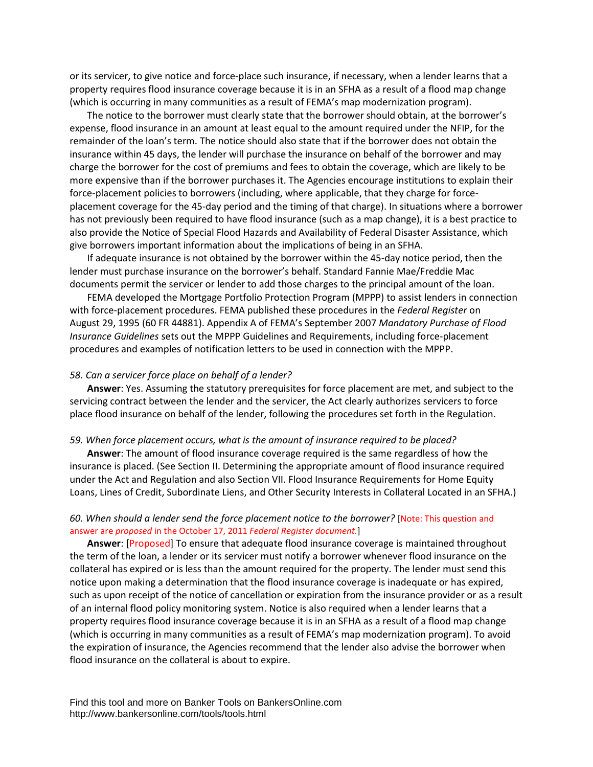or its servicer, to give notice and force-place such insurance, if necessary, when a lender learns that a property requires flood insurance coverage because it is in an SFHA as a result of a flood map change (which is occurring in many communities as a result of FEMA's map modernization program).

The notice to the borrower must clearly state that the borrower should obtain, at the borrower's expense, flood insurance in an amount at least equal to the amount required under the NFIP, for the remainder of the loan's term. The notice should also state that if the borrower does not obtain the insurance within 45 days, the lender will purchase the insurance on behalf of the borrower and may charge the borrower for the cost of premiums and fees to obtain the coverage, which are likely to be more expensive than if the borrower purchases it. The Agencies encourage institutions to explain their force-placement policies to borrowers (including, where applicable, that they charge for forceplacement coverage for the 45-day period and the timing of that charge). In situations where a borrower has not previously been required to have flood insurance (such as a map change), it is a best practice to also provide the Notice of Special Flood Hazards and Availability of Federal Disaster Assistance, which give borrowers important information about the implications of being in an SFHA.

If adequate insurance is not obtained by the borrower within the 45-day notice period, then the lender must purchase insurance on the borrower's behalf. Standard Fannie Mae/Freddie Mac documents permit the servicer or lender to add those charges to the principal amount of the loan.

FEMA developed the Mortgage Portfolio Protection Program (MPPP) to assist lenders in connection with force-placement procedures. FEMA published these procedures in the *Federal Register* on August 29, 1995 (60 FR 44881). Appendix A of FEMA's September 2007 *Mandatory Purchase of Flood Insurance Guidelines* sets out the MPPP Guidelines and Requirements, including force-placement procedures and examples of notification letters to be used in connection with the MPPP.

#### *58. Can a servicer force place on behalf of a lender?*

**Answer**: Yes. Assuming the statutory prerequisites for force placement are met, and subject to the servicing contract between the lender and the servicer, the Act clearly authorizes servicers to force place flood insurance on behalf of the lender, following the procedures set forth in the Regulation.

#### *59. When force placement occurs, what is the amount of insurance required to be placed?*

**Answer**: The amount of flood insurance coverage required is the same regardless of how the insurance is placed. (See Section II. Determining the appropriate amount of flood insurance required under the Act and Regulation and also Section VII. Flood Insurance Requirements for Home Equity Loans, Lines of Credit, Subordinate Liens, and Other Security Interests in Collateral Located in an SFHA.)

#### *60. When should a lender send the force placement notice to the borrower?* [Note: This question and answer are *proposed* in the October 17, 2011 *Federal Register document.*]

**Answer**: [Proposed] To ensure that adequate flood insurance coverage is maintained throughout the term of the loan, a lender or its servicer must notify a borrower whenever flood insurance on the collateral has expired or is less than the amount required for the property. The lender must send this notice upon making a determination that the flood insurance coverage is inadequate or has expired, such as upon receipt of the notice of cancellation or expiration from the insurance provider or as a result of an internal flood policy monitoring system. Notice is also required when a lender learns that a property requires flood insurance coverage because it is in an SFHA as a result of a flood map change (which is occurring in many communities as a result of FEMA's map modernization program). To avoid the expiration of insurance, the Agencies recommend that the lender also advise the borrower when flood insurance on the collateral is about to expire.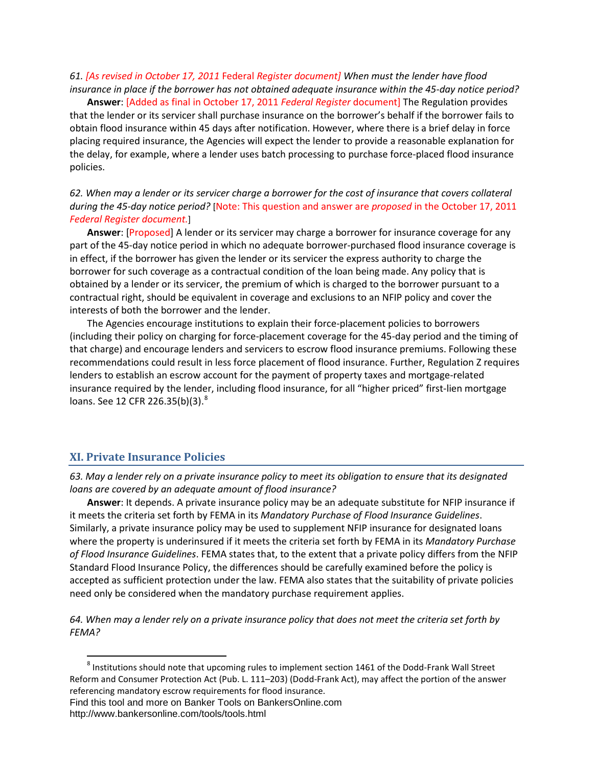*61. [As revised in October 17, 2011* Federal *Register document] When must the lender have flood insurance in place if the borrower has not obtained adequate insurance within the 45-day notice period?* 

**Answer**: [Added as final in October 17, 2011 *Federal Register* document] The Regulation provides that the lender or its servicer shall purchase insurance on the borrower's behalf if the borrower fails to obtain flood insurance within 45 days after notification. However, where there is a brief delay in force placing required insurance, the Agencies will expect the lender to provide a reasonable explanation for the delay, for example, where a lender uses batch processing to purchase force-placed flood insurance policies.

# *62. When may a lender or its servicer charge a borrower for the cost of insurance that covers collateral during the 45-day notice period?* [Note: This question and answer are *proposed* in the October 17, 2011 *Federal Register document.*]

**Answer**: [Proposed] A lender or its servicer may charge a borrower for insurance coverage for any part of the 45-day notice period in which no adequate borrower-purchased flood insurance coverage is in effect, if the borrower has given the lender or its servicer the express authority to charge the borrower for such coverage as a contractual condition of the loan being made. Any policy that is obtained by a lender or its servicer, the premium of which is charged to the borrower pursuant to a contractual right, should be equivalent in coverage and exclusions to an NFIP policy and cover the interests of both the borrower and the lender.

The Agencies encourage institutions to explain their force-placement policies to borrowers (including their policy on charging for force-placement coverage for the 45-day period and the timing of that charge) and encourage lenders and servicers to escrow flood insurance premiums. Following these recommendations could result in less force placement of flood insurance. Further, Regulation Z requires lenders to establish an escrow account for the payment of property taxes and mortgage-related insurance required by the lender, including flood insurance, for all "higher priced" first-lien mortgage loans. See 12 CFR 226.35(b)(3).<sup>[8](#page-22-1)</sup>

# <span id="page-22-0"></span>**XI. Private Insurance Policies**

*63. May a lender rely on a private insurance policy to meet its obligation to ensure that its designated loans are covered by an adequate amount of flood insurance?* 

**Answer**: It depends. A private insurance policy may be an adequate substitute for NFIP insurance if it meets the criteria set forth by FEMA in its *Mandatory Purchase of Flood Insurance Guidelines*. Similarly, a private insurance policy may be used to supplement NFIP insurance for designated loans where the property is underinsured if it meets the criteria set forth by FEMA in its *Mandatory Purchase of Flood Insurance Guidelines*. FEMA states that, to the extent that a private policy differs from the NFIP Standard Flood Insurance Policy, the differences should be carefully examined before the policy is accepted as sufficient protection under the law. FEMA also states that the suitability of private policies need only be considered when the mandatory purchase requirement applies.

*64. When may a lender rely on a private insurance policy that does not meet the criteria set forth by FEMA?* 

<span id="page-22-1"></span> <sup>8</sup> Institutions should note that upcoming rules to implement section 1461 of the Dodd-Frank Wall Street Reform and Consumer Protection Act (Pub. L. 111–203) (Dodd-Frank Act), may affect the portion of the answer referencing mandatory escrow requirements for flood insurance.

Find this tool and more on Banker Tools on BankersOnline.com http://www.bankersonline.com/tools/tools.html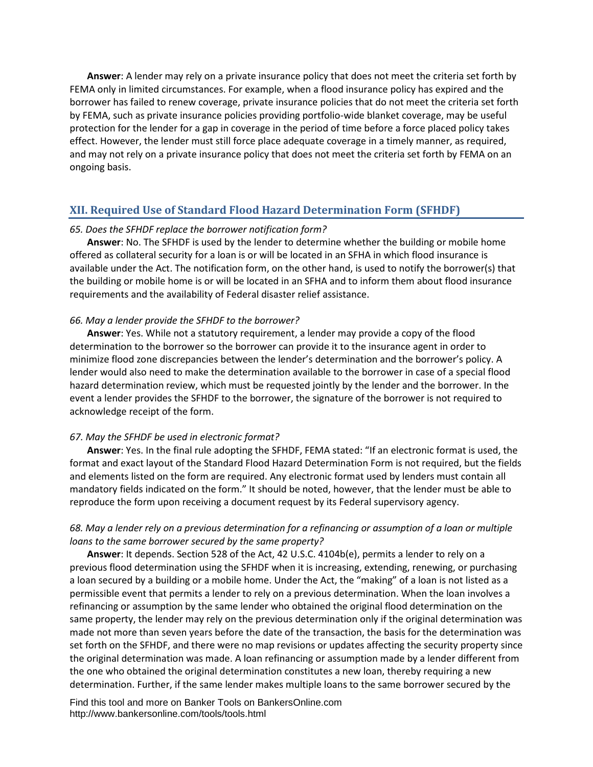**Answer**: A lender may rely on a private insurance policy that does not meet the criteria set forth by FEMA only in limited circumstances. For example, when a flood insurance policy has expired and the borrower has failed to renew coverage, private insurance policies that do not meet the criteria set forth by FEMA, such as private insurance policies providing portfolio-wide blanket coverage, may be useful protection for the lender for a gap in coverage in the period of time before a force placed policy takes effect. However, the lender must still force place adequate coverage in a timely manner, as required, and may not rely on a private insurance policy that does not meet the criteria set forth by FEMA on an ongoing basis.

## <span id="page-23-0"></span>**XII. Required Use of Standard Flood Hazard Determination Form (SFHDF)**

#### *65. Does the SFHDF replace the borrower notification form?*

**Answer**: No. The SFHDF is used by the lender to determine whether the building or mobile home offered as collateral security for a loan is or will be located in an SFHA in which flood insurance is available under the Act. The notification form, on the other hand, is used to notify the borrower(s) that the building or mobile home is or will be located in an SFHA and to inform them about flood insurance requirements and the availability of Federal disaster relief assistance.

#### *66. May a lender provide the SFHDF to the borrower?*

**Answer**: Yes. While not a statutory requirement, a lender may provide a copy of the flood determination to the borrower so the borrower can provide it to the insurance agent in order to minimize flood zone discrepancies between the lender's determination and the borrower's policy. A lender would also need to make the determination available to the borrower in case of a special flood hazard determination review, which must be requested jointly by the lender and the borrower. In the event a lender provides the SFHDF to the borrower, the signature of the borrower is not required to acknowledge receipt of the form.

#### *67. May the SFHDF be used in electronic format?*

**Answer**: Yes. In the final rule adopting the SFHDF, FEMA stated: "If an electronic format is used, the format and exact layout of the Standard Flood Hazard Determination Form is not required, but the fields and elements listed on the form are required. Any electronic format used by lenders must contain all mandatory fields indicated on the form." It should be noted, however, that the lender must be able to reproduce the form upon receiving a document request by its Federal supervisory agency.

#### *68. May a lender rely on a previous determination for a refinancing or assumption of a loan or multiple loans to the same borrower secured by the same property?*

**Answer**: It depends. Section 528 of the Act, 42 U.S.C. 4104b(e), permits a lender to rely on a previous flood determination using the SFHDF when it is increasing, extending, renewing, or purchasing a loan secured by a building or a mobile home. Under the Act, the "making" of a loan is not listed as a permissible event that permits a lender to rely on a previous determination. When the loan involves a refinancing or assumption by the same lender who obtained the original flood determination on the same property, the lender may rely on the previous determination only if the original determination was made not more than seven years before the date of the transaction, the basis for the determination was set forth on the SFHDF, and there were no map revisions or updates affecting the security property since the original determination was made. A loan refinancing or assumption made by a lender different from the one who obtained the original determination constitutes a new loan, thereby requiring a new determination. Further, if the same lender makes multiple loans to the same borrower secured by the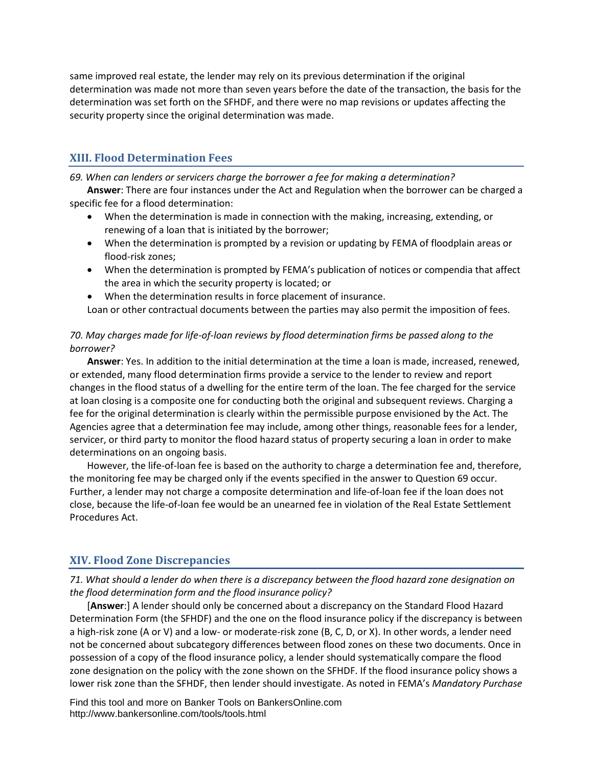same improved real estate, the lender may rely on its previous determination if the original determination was made not more than seven years before the date of the transaction, the basis for the determination was set forth on the SFHDF, and there were no map revisions or updates affecting the security property since the original determination was made.

# <span id="page-24-0"></span>**XIII. Flood Determination Fees**

*69. When can lenders or servicers charge the borrower a fee for making a determination?* 

**Answer**: There are four instances under the Act and Regulation when the borrower can be charged a specific fee for a flood determination:

- When the determination is made in connection with the making, increasing, extending, or renewing of a loan that is initiated by the borrower;
- When the determination is prompted by a revision or updating by FEMA of floodplain areas or flood-risk zones;
- When the determination is prompted by FEMA's publication of notices or compendia that affect the area in which the security property is located; or
- When the determination results in force placement of insurance.

Loan or other contractual documents between the parties may also permit the imposition of fees.

# *70. May charges made for life-of-loan reviews by flood determination firms be passed along to the borrower?*

**Answer**: Yes. In addition to the initial determination at the time a loan is made, increased, renewed, or extended, many flood determination firms provide a service to the lender to review and report changes in the flood status of a dwelling for the entire term of the loan. The fee charged for the service at loan closing is a composite one for conducting both the original and subsequent reviews. Charging a fee for the original determination is clearly within the permissible purpose envisioned by the Act. The Agencies agree that a determination fee may include, among other things, reasonable fees for a lender, servicer, or third party to monitor the flood hazard status of property securing a loan in order to make determinations on an ongoing basis.

However, the life-of-loan fee is based on the authority to charge a determination fee and, therefore, the monitoring fee may be charged only if the events specified in the answer to Question 69 occur. Further, a lender may not charge a composite determination and life-of-loan fee if the loan does not close, because the life-of-loan fee would be an unearned fee in violation of the Real Estate Settlement Procedures Act.

# <span id="page-24-1"></span>**XIV. Flood Zone Discrepancies**

*71. What should a lender do when there is a discrepancy between the flood hazard zone designation on the flood determination form and the flood insurance policy?* 

[**Answer**:] A lender should only be concerned about a discrepancy on the Standard Flood Hazard Determination Form (the SFHDF) and the one on the flood insurance policy if the discrepancy is between a high-risk zone (A or V) and a low- or moderate-risk zone (B, C, D, or X). In other words, a lender need not be concerned about subcategory differences between flood zones on these two documents. Once in possession of a copy of the flood insurance policy, a lender should systematically compare the flood zone designation on the policy with the zone shown on the SFHDF. If the flood insurance policy shows a lower risk zone than the SFHDF, then lender should investigate. As noted in FEMA's *Mandatory Purchase*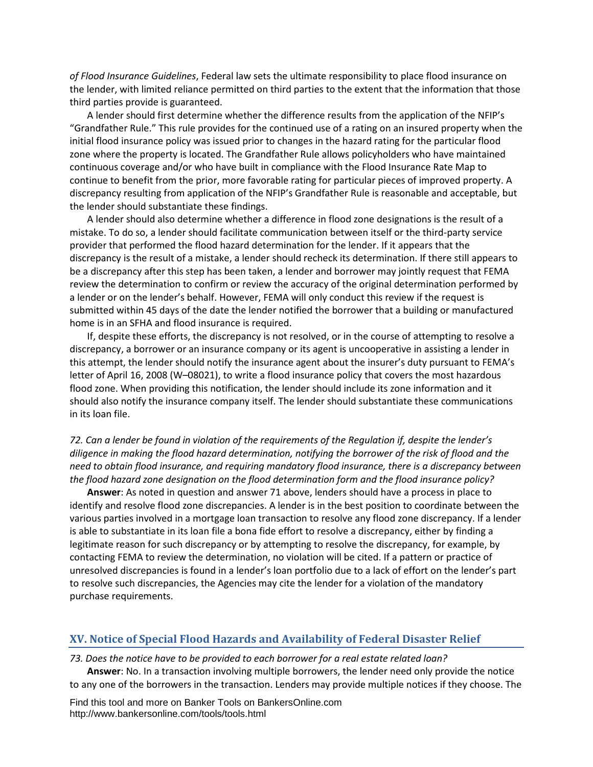*of Flood Insurance Guidelines*, Federal law sets the ultimate responsibility to place flood insurance on the lender, with limited reliance permitted on third parties to the extent that the information that those third parties provide is guaranteed.

A lender should first determine whether the difference results from the application of the NFIP's "Grandfather Rule." This rule provides for the continued use of a rating on an insured property when the initial flood insurance policy was issued prior to changes in the hazard rating for the particular flood zone where the property is located. The Grandfather Rule allows policyholders who have maintained continuous coverage and/or who have built in compliance with the Flood Insurance Rate Map to continue to benefit from the prior, more favorable rating for particular pieces of improved property. A discrepancy resulting from application of the NFIP's Grandfather Rule is reasonable and acceptable, but the lender should substantiate these findings.

A lender should also determine whether a difference in flood zone designations is the result of a mistake. To do so, a lender should facilitate communication between itself or the third-party service provider that performed the flood hazard determination for the lender. If it appears that the discrepancy is the result of a mistake, a lender should recheck its determination. If there still appears to be a discrepancy after this step has been taken, a lender and borrower may jointly request that FEMA review the determination to confirm or review the accuracy of the original determination performed by a lender or on the lender's behalf. However, FEMA will only conduct this review if the request is submitted within 45 days of the date the lender notified the borrower that a building or manufactured home is in an SFHA and flood insurance is required.

If, despite these efforts, the discrepancy is not resolved, or in the course of attempting to resolve a discrepancy, a borrower or an insurance company or its agent is uncooperative in assisting a lender in this attempt, the lender should notify the insurance agent about the insurer's duty pursuant to FEMA's letter of April 16, 2008 (W–08021), to write a flood insurance policy that covers the most hazardous flood zone. When providing this notification, the lender should include its zone information and it should also notify the insurance company itself. The lender should substantiate these communications in its loan file.

*72. Can a lender be found in violation of the requirements of the Regulation if, despite the lender's diligence in making the flood hazard determination, notifying the borrower of the risk of flood and the need to obtain flood insurance, and requiring mandatory flood insurance, there is a discrepancy between the flood hazard zone designation on the flood determination form and the flood insurance policy?* 

**Answer**: As noted in question and answer 71 above, lenders should have a process in place to identify and resolve flood zone discrepancies. A lender is in the best position to coordinate between the various parties involved in a mortgage loan transaction to resolve any flood zone discrepancy. If a lender is able to substantiate in its loan file a bona fide effort to resolve a discrepancy, either by finding a legitimate reason for such discrepancy or by attempting to resolve the discrepancy, for example, by contacting FEMA to review the determination, no violation will be cited. If a pattern or practice of unresolved discrepancies is found in a lender's loan portfolio due to a lack of effort on the lender's part to resolve such discrepancies, the Agencies may cite the lender for a violation of the mandatory purchase requirements.

## <span id="page-25-0"></span>**XV. Notice of Special Flood Hazards and Availability of Federal Disaster Relief**

#### *73. Does the notice have to be provided to each borrower for a real estate related loan?*

**Answer**: No. In a transaction involving multiple borrowers, the lender need only provide the notice to any one of the borrowers in the transaction. Lenders may provide multiple notices if they choose. The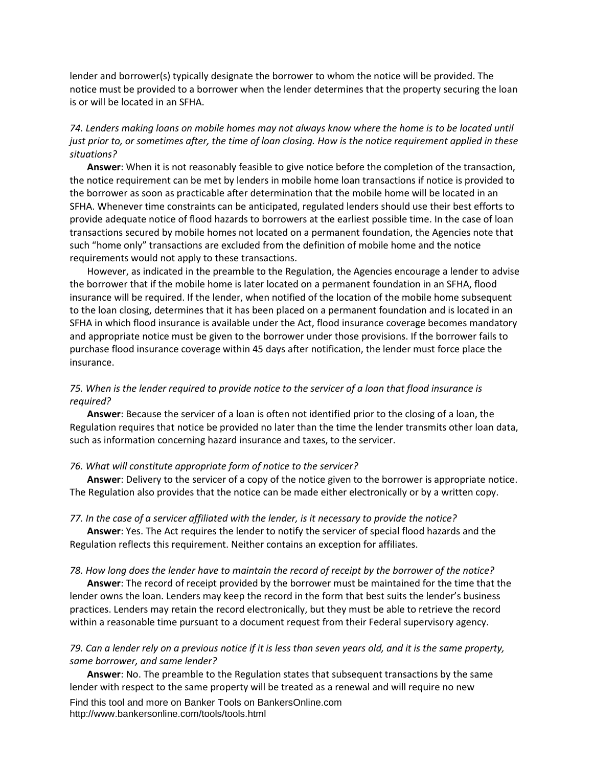lender and borrower(s) typically designate the borrower to whom the notice will be provided. The notice must be provided to a borrower when the lender determines that the property securing the loan is or will be located in an SFHA.

# *74. Lenders making loans on mobile homes may not always know where the home is to be located until just prior to, or sometimes after, the time of loan closing. How is the notice requirement applied in these situations?*

**Answer**: When it is not reasonably feasible to give notice before the completion of the transaction, the notice requirement can be met by lenders in mobile home loan transactions if notice is provided to the borrower as soon as practicable after determination that the mobile home will be located in an SFHA. Whenever time constraints can be anticipated, regulated lenders should use their best efforts to provide adequate notice of flood hazards to borrowers at the earliest possible time. In the case of loan transactions secured by mobile homes not located on a permanent foundation, the Agencies note that such "home only" transactions are excluded from the definition of mobile home and the notice requirements would not apply to these transactions.

However, as indicated in the preamble to the Regulation, the Agencies encourage a lender to advise the borrower that if the mobile home is later located on a permanent foundation in an SFHA, flood insurance will be required. If the lender, when notified of the location of the mobile home subsequent to the loan closing, determines that it has been placed on a permanent foundation and is located in an SFHA in which flood insurance is available under the Act, flood insurance coverage becomes mandatory and appropriate notice must be given to the borrower under those provisions. If the borrower fails to purchase flood insurance coverage within 45 days after notification, the lender must force place the insurance.

#### *75. When is the lender required to provide notice to the servicer of a loan that flood insurance is required?*

**Answer**: Because the servicer of a loan is often not identified prior to the closing of a loan, the Regulation requires that notice be provided no later than the time the lender transmits other loan data, such as information concerning hazard insurance and taxes, to the servicer.

#### *76. What will constitute appropriate form of notice to the servicer?*

**Answer**: Delivery to the servicer of a copy of the notice given to the borrower is appropriate notice. The Regulation also provides that the notice can be made either electronically or by a written copy.

#### *77. In the case of a servicer affiliated with the lender, is it necessary to provide the notice?*

**Answer**: Yes. The Act requires the lender to notify the servicer of special flood hazards and the Regulation reflects this requirement. Neither contains an exception for affiliates.

#### *78. How long does the lender have to maintain the record of receipt by the borrower of the notice?*

**Answer**: The record of receipt provided by the borrower must be maintained for the time that the lender owns the loan. Lenders may keep the record in the form that best suits the lender's business practices. Lenders may retain the record electronically, but they must be able to retrieve the record within a reasonable time pursuant to a document request from their Federal supervisory agency.

#### *79. Can a lender rely on a previous notice if it is less than seven years old, and it is the same property, same borrower, and same lender?*

**Answer**: No. The preamble to the Regulation states that subsequent transactions by the same lender with respect to the same property will be treated as a renewal and will require no new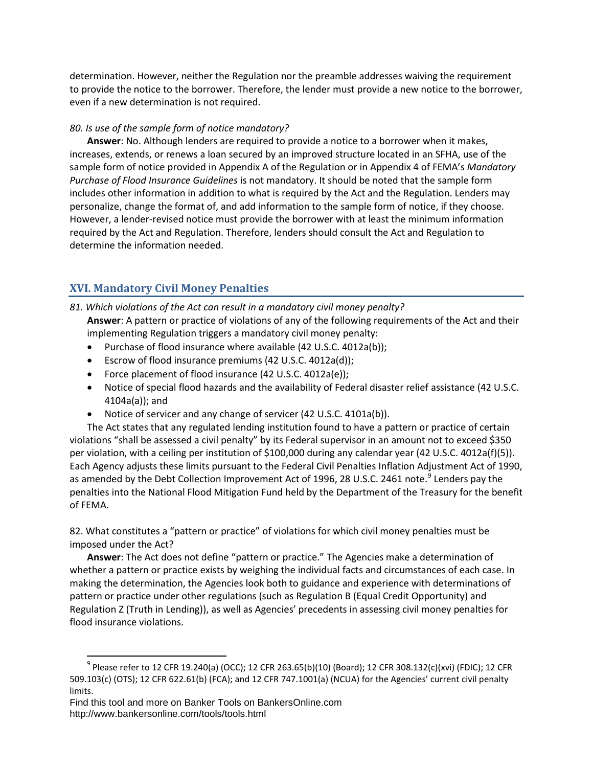determination. However, neither the Regulation nor the preamble addresses waiving the requirement to provide the notice to the borrower. Therefore, the lender must provide a new notice to the borrower, even if a new determination is not required.

#### *80. Is use of the sample form of notice mandatory?*

**Answer**: No. Although lenders are required to provide a notice to a borrower when it makes, increases, extends, or renews a loan secured by an improved structure located in an SFHA, use of the sample form of notice provided in Appendix A of the Regulation or in Appendix 4 of FEMA's *Mandatory Purchase of Flood Insurance Guidelines* is not mandatory. It should be noted that the sample form includes other information in addition to what is required by the Act and the Regulation. Lenders may personalize, change the format of, and add information to the sample form of notice, if they choose. However, a lender-revised notice must provide the borrower with at least the minimum information required by the Act and Regulation. Therefore, lenders should consult the Act and Regulation to determine the information needed.

# <span id="page-27-0"></span>**XVI. Mandatory Civil Money Penalties**

- *81. Which violations of the Act can result in a mandatory civil money penalty?*  **Answer**: A pattern or practice of violations of any of the following requirements of the Act and their implementing Regulation triggers a mandatory civil money penalty:
	- Purchase of flood insurance where available (42 U.S.C. 4012a(b));
	- Escrow of flood insurance premiums (42 U.S.C. 4012a(d));
	- Force placement of flood insurance (42 U.S.C. 4012a(e));
	- Notice of special flood hazards and the availability of Federal disaster relief assistance (42 U.S.C. 4104a(a)); and
	- Notice of servicer and any change of servicer (42 U.S.C. 4101a(b)).

The Act states that any regulated lending institution found to have a pattern or practice of certain violations "shall be assessed a civil penalty" by its Federal supervisor in an amount not to exceed \$350 per violation, with a ceiling per institution of \$100,000 during any calendar year (42 U.S.C. 4012a(f)(5)). Each Agency adjusts these limits pursuant to the Federal Civil Penalties Inflation Adjustment Act of 1990, as amended by the Debt Collection Improvement Act of 1[9](#page-27-1)96, 28 U.S.C. 2461 note.<sup>9</sup> Lenders pay the penalties into the National Flood Mitigation Fund held by the Department of the Treasury for the benefit of FEMA.

82. What constitutes a "pattern or practice" of violations for which civil money penalties must be imposed under the Act?

**Answer**: The Act does not define "pattern or practice." The Agencies make a determination of whether a pattern or practice exists by weighing the individual facts and circumstances of each case. In making the determination, the Agencies look both to guidance and experience with determinations of pattern or practice under other regulations (such as Regulation B (Equal Credit Opportunity) and Regulation Z (Truth in Lending)), as well as Agencies' precedents in assessing civil money penalties for flood insurance violations.

<span id="page-27-1"></span> $9$  Please refer to 12 CFR 19.240(a) (OCC); 12 CFR 263.65(b)(10) (Board); 12 CFR 308.132(c)(xvi) (FDIC); 12 CFR 509.103(c) (OTS); 12 CFR 622.61(b) (FCA); and 12 CFR 747.1001(a) (NCUA) for the Agencies' current civil penalty limits.

Find this tool and more on Banker Tools on BankersOnline.com http://www.bankersonline.com/tools/tools.html